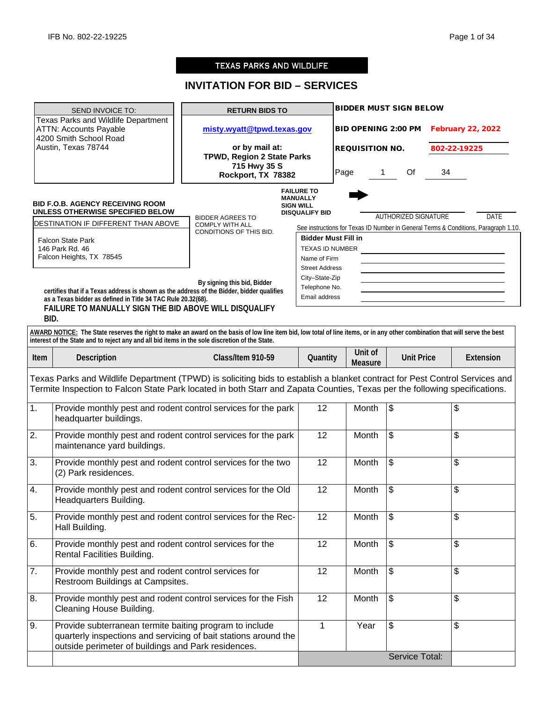Service Total:

# **TEXAS PARKS AND WILDLIFE**

# **INVITATION FOR BID – SERVICES**

|                                                                                                       | SEND INVOICE TO:                                                                                                                                                                                                                                                                                                                                                                                                     | <b>RETURN BIDS TO</b>                                                                                       |                                                                                                                                                                                                                                        |                            |                           | <b>BIDDER MUST SIGN BELOW</b> |                          |                                                                                                    |
|-------------------------------------------------------------------------------------------------------|----------------------------------------------------------------------------------------------------------------------------------------------------------------------------------------------------------------------------------------------------------------------------------------------------------------------------------------------------------------------------------------------------------------------|-------------------------------------------------------------------------------------------------------------|----------------------------------------------------------------------------------------------------------------------------------------------------------------------------------------------------------------------------------------|----------------------------|---------------------------|-------------------------------|--------------------------|----------------------------------------------------------------------------------------------------|
| <b>Texas Parks and Wildlife Department</b><br><b>ATTN: Accounts Payable</b><br>4200 Smith School Road |                                                                                                                                                                                                                                                                                                                                                                                                                      | misty.wyatt@tpwd.texas.gov                                                                                  |                                                                                                                                                                                                                                        | <b>BID OPENING 2:00 PM</b> |                           |                               | <b>February 22, 2022</b> |                                                                                                    |
|                                                                                                       | Austin, Texas 78744                                                                                                                                                                                                                                                                                                                                                                                                  | or by mail at:<br>TPWD, Region 2 State Parks<br>715 Hwy 35 S                                                |                                                                                                                                                                                                                                        | <b>REQUISITION NO.</b>     |                           |                               |                          | 802-22-19225                                                                                       |
|                                                                                                       |                                                                                                                                                                                                                                                                                                                                                                                                                      | Rockport, TX 78382                                                                                          |                                                                                                                                                                                                                                        | Page                       | $\mathbf 1$               | Of                            | 34                       |                                                                                                    |
|                                                                                                       | <b>BID F.O.B. AGENCY RECEIVING ROOM</b><br>UNLESS OTHERWISE SPECIFIED BELOW<br>DESTINATION IF DIFFERENT THAN ABOVE<br><b>Falcon State Park</b><br>146 Park Rd. 46<br>Falcon Heights, TX 78545<br>certifies that if a Texas address is shown as the address of the Bidder, bidder qualifies<br>as a Texas bidder as defined in Title 34 TAC Rule 20.32(68).<br>FAILURE TO MANUALLY SIGN THE BID ABOVE WILL DISQUALIFY | <b>BIDDER AGREES TO</b><br><b>COMPLY WITH ALL</b><br>CONDITIONS OF THIS BID.<br>By signing this bid, Bidder | <b>FAILURE TO</b><br><b>MANUALLY</b><br><b>SIGN WILL</b><br><b>DISQUALIFY BID</b><br><b>Bidder Must Fill in</b><br><b>TEXAS ID NUMBER</b><br>Name of Firm<br><b>Street Address</b><br>City-State-Zip<br>Telephone No.<br>Email address |                            |                           | <b>AUTHORIZED SIGNATURE</b>   |                          | <b>DATE</b><br>See instructions for Texas ID Number in General Terms & Conditions, Paragraph 1.10. |
|                                                                                                       | BID.<br>AWARD NOTICE: The State reserves the right to make an award on the basis of low line item bid, low total of line items, or in any other combination that will serve the best<br>interest of the State and to reject any and all bid items in the sole discretion of the State.                                                                                                                               |                                                                                                             |                                                                                                                                                                                                                                        |                            |                           |                               |                          |                                                                                                    |
| Item                                                                                                  | Description                                                                                                                                                                                                                                                                                                                                                                                                          | Class/Item 910-59                                                                                           | Quantity                                                                                                                                                                                                                               |                            | Unit of<br><b>Measure</b> | <b>Unit Price</b>             |                          | Extension                                                                                          |
|                                                                                                       | Texas Parks and Wildlife Department (TPWD) is soliciting bids to establish a blanket contract for Pest Control Services and<br>Termite Inspection to Falcon State Park located in both Starr and Zapata Counties, Texas per the following specifications.                                                                                                                                                            |                                                                                                             |                                                                                                                                                                                                                                        |                            |                           |                               |                          |                                                                                                    |
| $\overline{1}$ .                                                                                      | Provide monthly pest and rodent control services for the park<br>headquarter buildings.                                                                                                                                                                                                                                                                                                                              |                                                                                                             | 12                                                                                                                                                                                                                                     |                            | Month                     | \$                            |                          | \$                                                                                                 |
| 2.                                                                                                    | Provide monthly pest and rodent control services for the park<br>maintenance yard buildings.                                                                                                                                                                                                                                                                                                                         |                                                                                                             | 12                                                                                                                                                                                                                                     |                            | Month                     | \$                            |                          | \$                                                                                                 |
| 3.                                                                                                    | Provide monthly pest and rodent control services for the two<br>(2) Park residences.                                                                                                                                                                                                                                                                                                                                 |                                                                                                             | 12                                                                                                                                                                                                                                     |                            | Month                     | \$                            |                          | \$                                                                                                 |
| 4.                                                                                                    | Provide monthly pest and rodent control services for the Old<br>Headquarters Building.                                                                                                                                                                                                                                                                                                                               |                                                                                                             | 12                                                                                                                                                                                                                                     |                            | Month                     | $\sqrt{3}$                    |                          | \$                                                                                                 |
| 5.                                                                                                    | Provide monthly pest and rodent control services for the Rec-<br>Hall Building.                                                                                                                                                                                                                                                                                                                                      |                                                                                                             | 12                                                                                                                                                                                                                                     |                            | Month                     | \$                            |                          | \$                                                                                                 |
| 6.                                                                                                    | Provide monthly pest and rodent control services for the<br>Rental Facilities Building.                                                                                                                                                                                                                                                                                                                              |                                                                                                             | 12                                                                                                                                                                                                                                     |                            | Month                     | \$                            |                          | \$                                                                                                 |
| $\overline{7}$ .                                                                                      | Provide monthly pest and rodent control services for<br>Restroom Buildings at Campsites.                                                                                                                                                                                                                                                                                                                             |                                                                                                             | 12                                                                                                                                                                                                                                     |                            | Month                     | \$                            |                          | \$                                                                                                 |
| 8.                                                                                                    | Provide monthly pest and rodent control services for the Fish<br>Cleaning House Building.                                                                                                                                                                                                                                                                                                                            |                                                                                                             | 12                                                                                                                                                                                                                                     |                            | Month                     | \$                            |                          | \$                                                                                                 |
| 9.                                                                                                    | Provide subterranean termite baiting program to include<br>quarterly inspections and servicing of bait stations around the<br>outside perimeter of buildings and Park residences.                                                                                                                                                                                                                                    |                                                                                                             | $\mathbf{1}$                                                                                                                                                                                                                           |                            | Year                      | \$                            |                          | \$                                                                                                 |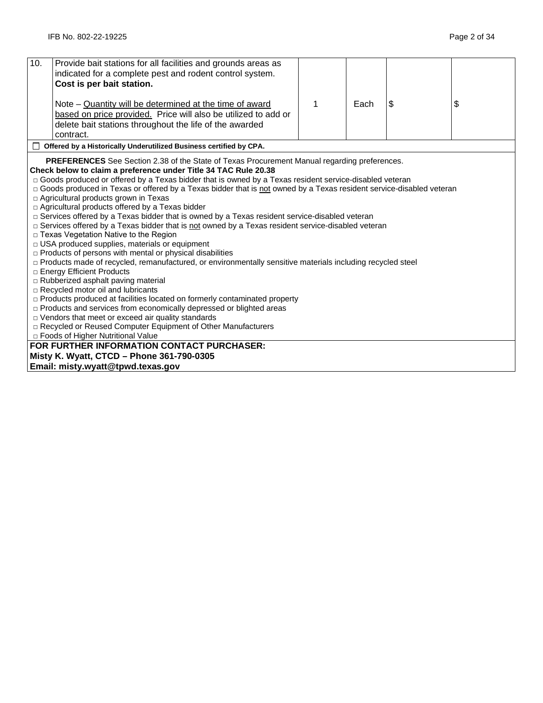| 10.                                                                                                 | Provide bait stations for all facilities and grounds areas as<br>indicated for a complete pest and rodent control system. |   |      |    |    |  |  |
|-----------------------------------------------------------------------------------------------------|---------------------------------------------------------------------------------------------------------------------------|---|------|----|----|--|--|
|                                                                                                     | Cost is per bait station.                                                                                                 |   |      |    |    |  |  |
|                                                                                                     |                                                                                                                           |   |      |    |    |  |  |
|                                                                                                     | Note – Quantity will be determined at the time of award                                                                   | 1 | Each | \$ | \$ |  |  |
|                                                                                                     | based on price provided. Price will also be utilized to add or                                                            |   |      |    |    |  |  |
|                                                                                                     | delete bait stations throughout the life of the awarded                                                                   |   |      |    |    |  |  |
|                                                                                                     | contract.                                                                                                                 |   |      |    |    |  |  |
|                                                                                                     | Offered by a Historically Underutilized Business certified by CPA.                                                        |   |      |    |    |  |  |
|                                                                                                     | PREFERENCES See Section 2.38 of the State of Texas Procurement Manual regarding preferences.                              |   |      |    |    |  |  |
|                                                                                                     | Check below to claim a preference under Title 34 TAC Rule 20.38                                                           |   |      |    |    |  |  |
|                                                                                                     | □ Goods produced or offered by a Texas bidder that is owned by a Texas resident service-disabled veteran                  |   |      |    |    |  |  |
|                                                                                                     | □ Goods produced in Texas or offered by a Texas bidder that is not owned by a Texas resident service-disabled veteran     |   |      |    |    |  |  |
|                                                                                                     | □ Agricultural products grown in Texas                                                                                    |   |      |    |    |  |  |
|                                                                                                     | $\Box$ Agricultural products offered by a Texas bidder                                                                    |   |      |    |    |  |  |
|                                                                                                     | □ Services offered by a Texas bidder that is owned by a Texas resident service-disabled veteran                           |   |      |    |    |  |  |
| □ Services offered by a Texas bidder that is not owned by a Texas resident service-disabled veteran |                                                                                                                           |   |      |    |    |  |  |
|                                                                                                     | □ Texas Vegetation Native to the Region                                                                                   |   |      |    |    |  |  |
|                                                                                                     | □ USA produced supplies, materials or equipment<br>$\Box$ Products of persons with mental or physical disabilities        |   |      |    |    |  |  |
|                                                                                                     | □ Products made of recycled, remanufactured, or environmentally sensitive materials including recycled steel              |   |      |    |    |  |  |
|                                                                                                     | □ Energy Efficient Products                                                                                               |   |      |    |    |  |  |
|                                                                                                     | □ Rubberized asphalt paving material                                                                                      |   |      |    |    |  |  |
|                                                                                                     | □ Recycled motor oil and lubricants                                                                                       |   |      |    |    |  |  |
|                                                                                                     | $\Box$ Products produced at facilities located on formerly contaminated property                                          |   |      |    |    |  |  |
|                                                                                                     | $\Box$ Products and services from economically depressed or blighted areas                                                |   |      |    |    |  |  |
|                                                                                                     | $\Box$ Vendors that meet or exceed air quality standards                                                                  |   |      |    |    |  |  |
|                                                                                                     | □ Recycled or Reused Computer Equipment of Other Manufacturers                                                            |   |      |    |    |  |  |
| □ Foods of Higher Nutritional Value                                                                 |                                                                                                                           |   |      |    |    |  |  |
|                                                                                                     | FOR FURTHER INFORMATION CONTACT PURCHASER:                                                                                |   |      |    |    |  |  |
|                                                                                                     | Misty K. Wyatt, CTCD - Phone 361-790-0305                                                                                 |   |      |    |    |  |  |
|                                                                                                     | Email: misty.wyatt@tpwd.texas.gov                                                                                         |   |      |    |    |  |  |
|                                                                                                     |                                                                                                                           |   |      |    |    |  |  |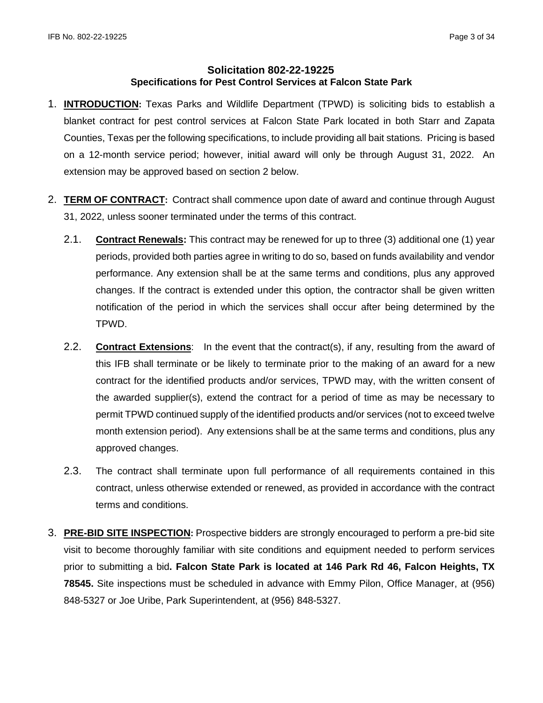# **Solicitation 802-22-19225 Specifications for Pest Control Services at Falcon State Park**

- 1. **INTRODUCTION:** Texas Parks and Wildlife Department (TPWD) is soliciting bids to establish a blanket contract for pest control services at Falcon State Park located in both Starr and Zapata Counties, Texas per the following specifications, to include providing all bait stations. Pricing is based on a 12-month service period; however, initial award will only be through August 31, 2022. An extension may be approved based on section 2 below.
- 2. **TERM OF CONTRACT:** Contract shall commence upon date of award and continue through August 31, 2022, unless sooner terminated under the terms of this contract.
	- 2.1. **Contract Renewals:** This contract may be renewed for up to three (3) additional one (1) year periods, provided both parties agree in writing to do so, based on funds availability and vendor performance. Any extension shall be at the same terms and conditions, plus any approved changes. If the contract is extended under this option, the contractor shall be given written notification of the period in which the services shall occur after being determined by the TPWD.
	- 2.2. **Contract Extensions**: In the event that the contract(s), if any, resulting from the award of this IFB shall terminate or be likely to terminate prior to the making of an award for a new contract for the identified products and/or services, TPWD may, with the written consent of the awarded supplier(s), extend the contract for a period of time as may be necessary to permit TPWD continued supply of the identified products and/or services (not to exceed twelve month extension period). Any extensions shall be at the same terms and conditions, plus any approved changes.
	- 2.3. The contract shall terminate upon full performance of all requirements contained in this contract, unless otherwise extended or renewed, as provided in accordance with the contract terms and conditions.
- 3. **PRE-BID SITE INSPECTION:** Prospective bidders are strongly encouraged to perform a pre-bid site visit to become thoroughly familiar with site conditions and equipment needed to perform services prior to submitting a bid**. Falcon State Park is located at 146 Park Rd 46, Falcon Heights, TX 78545.** Site inspections must be scheduled in advance with Emmy Pilon, Office Manager, at (956) 848-5327 or Joe Uribe, Park Superintendent, at (956) 848-5327.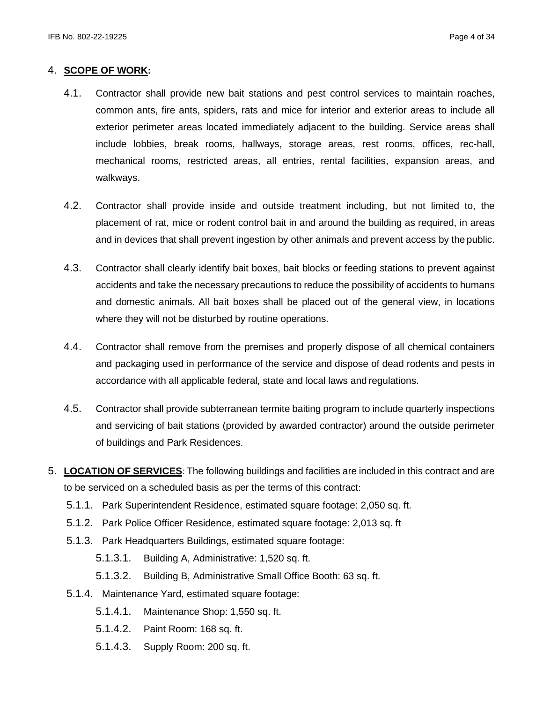## 4. **SCOPE OF WORK:**

- 4.1. Contractor shall provide new bait stations and pest control services to maintain roaches, common ants, fire ants, spiders, rats and mice for interior and exterior areas to include all exterior perimeter areas located immediately adjacent to the building. Service areas shall include lobbies, break rooms, hallways, storage areas, rest rooms, offices, rec-hall, mechanical rooms, restricted areas, all entries, rental facilities, expansion areas, and walkways.
- 4.2. Contractor shall provide inside and outside treatment including, but not limited to, the placement of rat, mice or rodent control bait in and around the building as required, in areas and in devices that shall prevent ingestion by other animals and prevent access by the public.
- 4.3. Contractor shall clearly identify bait boxes, bait blocks or feeding stations to prevent against accidents and take the necessary precautions to reduce the possibility of accidents to humans and domestic animals. All bait boxes shall be placed out of the general view, in locations where they will not be disturbed by routine operations.
- 4.4. Contractor shall remove from the premises and properly dispose of all chemical containers and packaging used in performance of the service and dispose of dead rodents and pests in accordance with all applicable federal, state and local laws and regulations.
- 4.5. Contractor shall provide subterranean termite baiting program to include quarterly inspections and servicing of bait stations (provided by awarded contractor) around the outside perimeter of buildings and Park Residences.
- 5. **LOCATION OF SERVICES**: The following buildings and facilities are included in this contract and are to be serviced on a scheduled basis as per the terms of this contract:
	- 5.1.1. Park Superintendent Residence, estimated square footage: 2,050 sq. ft.
	- 5.1.2. Park Police Officer Residence, estimated square footage: 2,013 sq. ft
	- 5.1.3. Park Headquarters Buildings, estimated square footage:
		- 5.1.3.1. Building A, Administrative: 1,520 sq. ft.
		- 5.1.3.2. Building B, Administrative Small Office Booth: 63 sq. ft.
	- 5.1.4. Maintenance Yard, estimated square footage:
		- 5.1.4.1. Maintenance Shop: 1,550 sq. ft.
		- 5.1.4.2. Paint Room: 168 sq. ft.
		- 5.1.4.3. Supply Room: 200 sq. ft.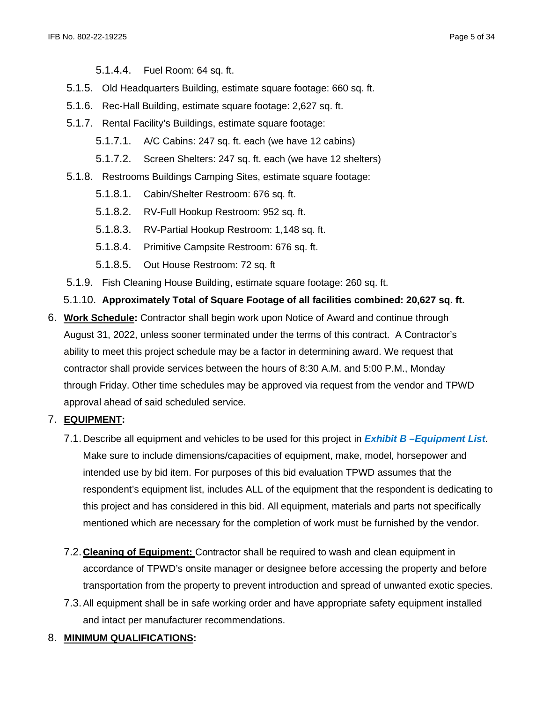5.1.4.4. Fuel Room: 64 sq. ft.

- 5.1.5. Old Headquarters Building, estimate square footage: 660 sq. ft.
- 5.1.6. Rec-Hall Building, estimate square footage: 2,627 sq. ft.
- 5.1.7. Rental Facility's Buildings, estimate square footage:
	- 5.1.7.1. A/C Cabins: 247 sq. ft. each (we have 12 cabins)
	- 5.1.7.2. Screen Shelters: 247 sq. ft. each (we have 12 shelters)
- 5.1.8. Restrooms Buildings Camping Sites, estimate square footage:
	- 5.1.8.1. Cabin/Shelter Restroom: 676 sq. ft.
	- 5.1.8.2. RV-Full Hookup Restroom: 952 sq. ft.
	- 5.1.8.3. RV-Partial Hookup Restroom: 1,148 sq. ft.
	- 5.1.8.4. Primitive Campsite Restroom: 676 sq. ft.
	- 5.1.8.5. Out House Restroom: 72 sq. ft
- 5.1.9. Fish Cleaning House Building, estimate square footage: 260 sq. ft.
- 5.1.10. **Approximately Total of Square Footage of all facilities combined: 20,627 sq. ft.**
- 6. **Work Schedule:** Contractor shall begin work upon Notice of Award and continue through August 31, 2022, unless sooner terminated under the terms of this contract. A Contractor's ability to meet this project schedule may be a factor in determining award. We request that contractor shall provide services between the hours of 8:30 A.M. and 5:00 P.M., Monday through Friday. Other time schedules may be approved via request from the vendor and TPWD approval ahead of said scheduled service.
- 7. **EQUIPMENT:** 
	- 7.1.Describe all equipment and vehicles to be used for this project in *Exhibit B –Equipment List*. Make sure to include dimensions/capacities of equipment, make, model, horsepower and intended use by bid item. For purposes of this bid evaluation TPWD assumes that the respondent's equipment list, includes ALL of the equipment that the respondent is dedicating to this project and has considered in this bid. All equipment, materials and parts not specifically mentioned which are necessary for the completion of work must be furnished by the vendor.
	- 7.2.**Cleaning of Equipment:** Contractor shall be required to wash and clean equipment in accordance of TPWD's onsite manager or designee before accessing the property and before transportation from the property to prevent introduction and spread of unwanted exotic species.
	- 7.3.All equipment shall be in safe working order and have appropriate safety equipment installed and intact per manufacturer recommendations.
- 8. **MINIMUM QUALIFICATIONS:**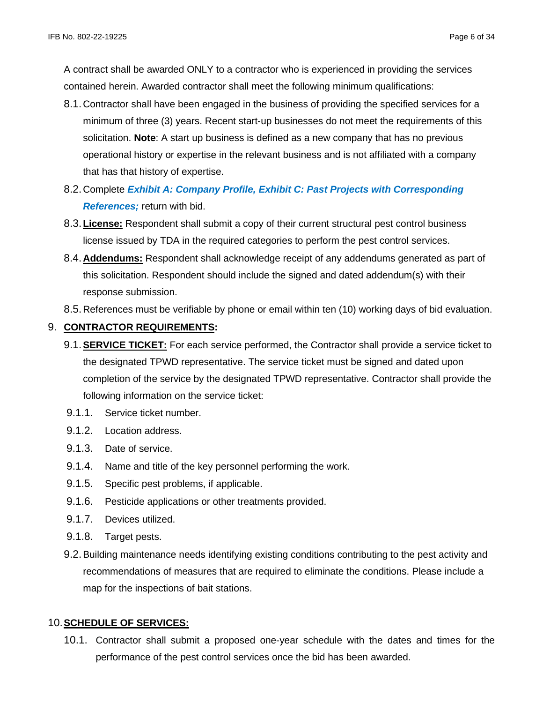A contract shall be awarded ONLY to a contractor who is experienced in providing the services contained herein. Awarded contractor shall meet the following minimum qualifications:

- 8.1.Contractor shall have been engaged in the business of providing the specified services for a minimum of three (3) years. Recent start-up businesses do not meet the requirements of this solicitation. **Note**: A start up business is defined as a new company that has no previous operational history or expertise in the relevant business and is not affiliated with a company that has that history of expertise.
- 8.2.Complete *Exhibit A: Company Profile, Exhibit C: Past Projects with Corresponding References;* return with bid.
- 8.3.**License:** Respondent shall submit a copy of their current structural pest control business license issued by TDA in the required categories to perform the pest control services.
- 8.4.**Addendums:** Respondent shall acknowledge receipt of any addendums generated as part of this solicitation. Respondent should include the signed and dated addendum(s) with their response submission.
- 8.5.References must be verifiable by phone or email within ten (10) working days of bid evaluation.

# 9. **CONTRACTOR REQUIREMENTS:**

- 9.1.**SERVICE TICKET:** For each service performed, the Contractor shall provide a service ticket to the designated TPWD representative. The service ticket must be signed and dated upon completion of the service by the designated TPWD representative. Contractor shall provide the following information on the service ticket:
- 9.1.1. Service ticket number.
- 9.1.2. Location address.
- 9.1.3. Date of service.
- 9.1.4. Name and title of the key personnel performing the work.
- 9.1.5. Specific pest problems, if applicable.
- 9.1.6. Pesticide applications or other treatments provided.
- 9.1.7. Devices utilized.
- 9.1.8. Target pests.
- 9.2.Building maintenance needs identifying existing conditions contributing to the pest activity and recommendations of measures that are required to eliminate the conditions. Please include a map for the inspections of bait stations.

# 10.**SCHEDULE OF SERVICES:**

10.1. Contractor shall submit a proposed one-year schedule with the dates and times for the performance of the pest control services once the bid has been awarded.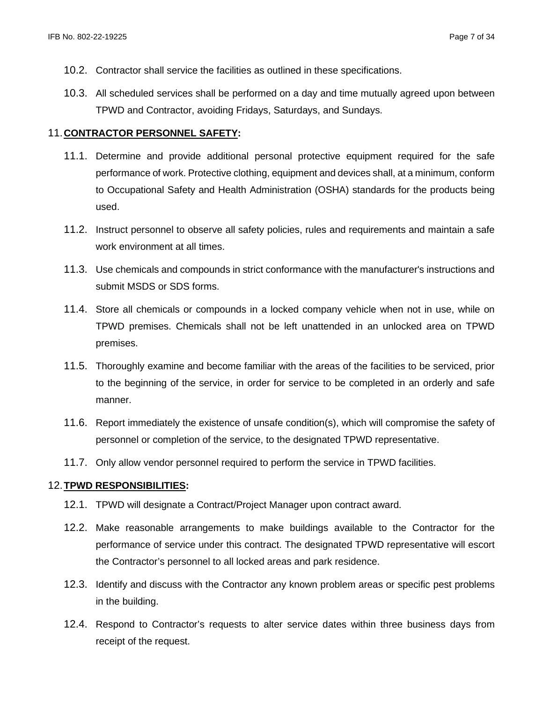- 10.2. Contractor shall service the facilities as outlined in these specifications.
- 10.3. All scheduled services shall be performed on a day and time mutually agreed upon between TPWD and Contractor, avoiding Fridays, Saturdays, and Sundays.

# 11.**CONTRACTOR PERSONNEL SAFETY:**

- 11.1. Determine and provide additional personal protective equipment required for the safe performance of work. Protective clothing, equipment and devices shall, at a minimum, conform to Occupational Safety and Health Administration (OSHA) standards for the products being used.
- 11.2. Instruct personnel to observe all safety policies, rules and requirements and maintain a safe work environment at all times.
- 11.3. Use chemicals and compounds in strict conformance with the manufacturer's instructions and submit MSDS or SDS forms.
- 11.4. Store all chemicals or compounds in a locked company vehicle when not in use, while on TPWD premises. Chemicals shall not be left unattended in an unlocked area on TPWD premises.
- 11.5. Thoroughly examine and become familiar with the areas of the facilities to be serviced, prior to the beginning of the service, in order for service to be completed in an orderly and safe manner.
- 11.6. Report immediately the existence of unsafe condition(s), which will compromise the safety of personnel or completion of the service, to the designated TPWD representative.
- 11.7. Only allow vendor personnel required to perform the service in TPWD facilities.

# 12.**TPWD RESPONSIBILITIES:**

- 12.1. TPWD will designate a Contract/Project Manager upon contract award.
- 12.2. Make reasonable arrangements to make buildings available to the Contractor for the performance of service under this contract. The designated TPWD representative will escort the Contractor's personnel to all locked areas and park residence.
- 12.3. Identify and discuss with the Contractor any known problem areas or specific pest problems in the building.
- 12.4. Respond to Contractor's requests to alter service dates within three business days from receipt of the request.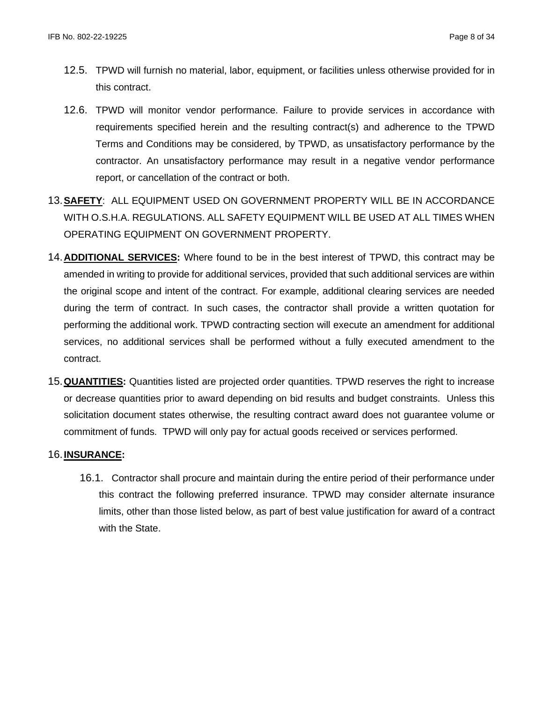- 12.5. TPWD will furnish no material, labor, equipment, or facilities unless otherwise provided for in this contract.
- 12.6. TPWD will monitor vendor performance. Failure to provide services in accordance with requirements specified herein and the resulting contract(s) and adherence to the TPWD Terms and Conditions may be considered, by TPWD, as unsatisfactory performance by the contractor. An unsatisfactory performance may result in a negative vendor performance report, or cancellation of the contract or both.
- 13.**SAFETY**: ALL EQUIPMENT USED ON GOVERNMENT PROPERTY WILL BE IN ACCORDANCE WITH O.S.H.A. REGULATIONS. ALL SAFETY EQUIPMENT WILL BE USED AT ALL TIMES WHEN OPERATING EQUIPMENT ON GOVERNMENT PROPERTY.
- 14.**ADDITIONAL SERVICES:** Where found to be in the best interest of TPWD, this contract may be amended in writing to provide for additional services, provided that such additional services are within the original scope and intent of the contract. For example, additional clearing services are needed during the term of contract. In such cases, the contractor shall provide a written quotation for performing the additional work. TPWD contracting section will execute an amendment for additional services, no additional services shall be performed without a fully executed amendment to the contract.
- 15.**QUANTITIES:** Quantities listed are projected order quantities. TPWD reserves the right to increase or decrease quantities prior to award depending on bid results and budget constraints. Unless this solicitation document states otherwise, the resulting contract award does not guarantee volume or commitment of funds. TPWD will only pay for actual goods received or services performed.

# 16.**INSURANCE:**

16.1. Contractor shall procure and maintain during the entire period of their performance under this contract the following preferred insurance. TPWD may consider alternate insurance limits, other than those listed below, as part of best value justification for award of a contract with the State.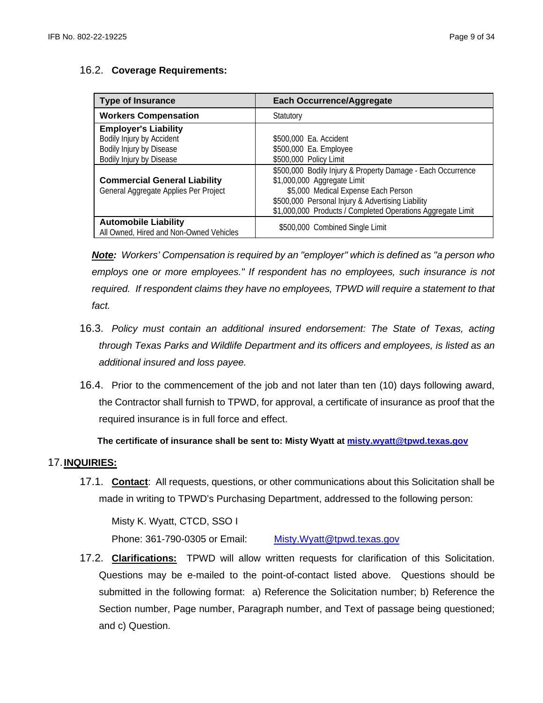# 16.2. **Coverage Requirements:**

| <b>Type of Insurance</b>                                               | <b>Each Occurrence/Aggregate</b>                            |
|------------------------------------------------------------------------|-------------------------------------------------------------|
| <b>Workers Compensation</b>                                            | Statutory                                                   |
| <b>Employer's Liability</b>                                            |                                                             |
| Bodily Injury by Accident                                              | \$500,000 Ea. Accident                                      |
| Bodily Injury by Disease                                               | \$500,000 Ea. Employee                                      |
| Bodily Injury by Disease                                               | \$500,000 Policy Limit                                      |
|                                                                        | \$500,000 Bodily Injury & Property Damage - Each Occurrence |
| <b>Commercial General Liability</b>                                    | \$1,000,000 Aggregate Limit                                 |
| General Aggregate Applies Per Project                                  | \$5,000 Medical Expense Each Person                         |
|                                                                        | \$500,000 Personal Injury & Advertising Liability           |
|                                                                        | \$1,000,000 Products / Completed Operations Aggregate Limit |
| <b>Automobile Liability</b><br>All Owned, Hired and Non-Owned Vehicles | \$500,000 Combined Single Limit                             |

*Note: Workers' Compensation is required by an "employer" which is defined as "a person who employs one or more employees." If respondent has no employees, such insurance is not required. If respondent claims they have no employees, TPWD will require a statement to that fact.*

- 16.3. *Policy must contain an additional insured endorsement: The State of Texas, acting through Texas Parks and Wildlife Department and its officers and employees, is listed as an additional insured and loss payee.*
- 16.4. Prior to the commencement of the job and not later than ten (10) days following award, the Contractor shall furnish to TPWD, for approval, a certificate of insurance as proof that the required insurance is in full force and effect.

 **The certificate of insurance shall be sent to: Misty Wyatt at [misty.wyatt@tpwd.texas.gov](mailto:misty.wyatt@tpwd.texas.gov)**

# 17.**INQUIRIES:**

17.1. **Contact**: All requests, questions, or other communications about this Solicitation shall be made in writing to TPWD's Purchasing Department, addressed to the following person:

Misty K. Wyatt, CTCD, SSO I

Phone: 361-790-0305 or Email: [Misty.Wyatt@tpwd.texas.gov](mailto:Misty.Wyatt@tpwd.texas.gov)

17.2. **Clarifications:** TPWD will allow written requests for clarification of this Solicitation. Questions may be e-mailed to the point-of-contact listed above. Questions should be submitted in the following format: a) Reference the Solicitation number; b) Reference the Section number, Page number, Paragraph number, and Text of passage being questioned; and c) Question.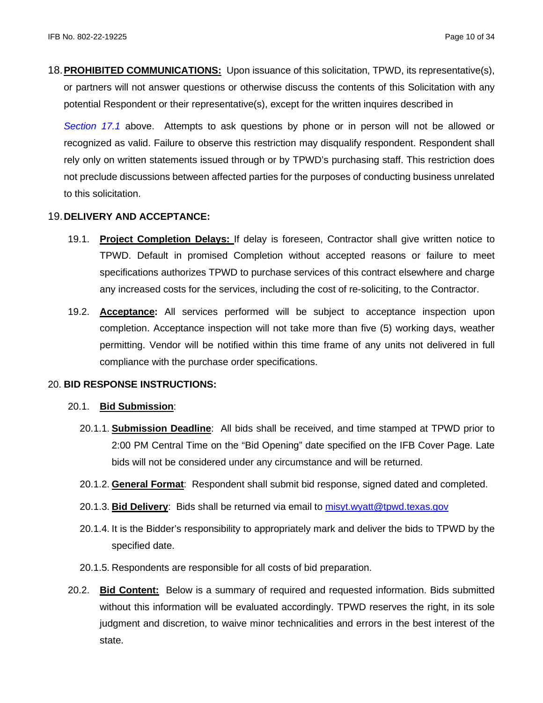18.**PROHIBITED COMMUNICATIONS:** Upon issuance of this solicitation, TPWD, its representative(s), or partners will not answer questions or otherwise discuss the contents of this Solicitation with any potential Respondent or their representative(s), except for the written inquires described in

*Section 17.1* above. Attempts to ask questions by phone or in person will not be allowed or recognized as valid. Failure to observe this restriction may disqualify respondent. Respondent shall rely only on written statements issued through or by TPWD's purchasing staff. This restriction does not preclude discussions between affected parties for the purposes of conducting business unrelated to this solicitation.

# 19.**DELIVERY AND ACCEPTANCE:**

- 19.1. **Project Completion Delays:** If delay is foreseen, Contractor shall give written notice to TPWD. Default in promised Completion without accepted reasons or failure to meet specifications authorizes TPWD to purchase services of this contract elsewhere and charge any increased costs for the services, including the cost of re-soliciting, to the Contractor.
- 19.2. **Acceptance:** All services performed will be subject to acceptance inspection upon completion. Acceptance inspection will not take more than five (5) working days, weather permitting. Vendor will be notified within this time frame of any units not delivered in full compliance with the purchase order specifications.

# 20. **BID RESPONSE INSTRUCTIONS:**

# 20.1. **Bid Submission**:

- 20.1.1. **Submission Deadline**: All bids shall be received, and time stamped at TPWD prior to 2:00 PM Central Time on the "Bid Opening" date specified on the IFB Cover Page. Late bids will not be considered under any circumstance and will be returned.
- 20.1.2. **General Format**: Respondent shall submit bid response, signed dated and completed.
- 20.1.3. **Bid Delivery**: Bids shall be returned via email to [misyt.wyatt@tpwd.texas.gov](mailto:misyt.wyatt@tpwd.texas.gov)
- 20.1.4. It is the Bidder's responsibility to appropriately mark and deliver the bids to TPWD by the specified date.
- 20.1.5. Respondents are responsible for all costs of bid preparation.
- 20.2. **Bid Content:** Below is a summary of required and requested information. Bids submitted without this information will be evaluated accordingly. TPWD reserves the right, in its sole judgment and discretion, to waive minor technicalities and errors in the best interest of the state.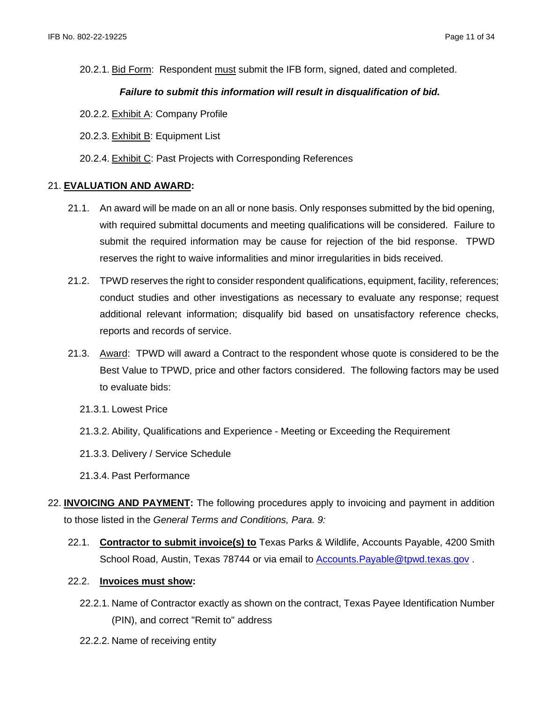20.2.1. Bid Form: Respondent must submit the IFB form, signed, dated and completed.

## *Failure to submit this information will result in disqualification of bid.*

- 20.2.2. Exhibit A: Company Profile
- 20.2.3. Exhibit B: Equipment List
- 20.2.4. Exhibit C: Past Projects with Corresponding References

### 21. **EVALUATION AND AWARD:**

- 21.1. An award will be made on an all or none basis. Only responses submitted by the bid opening, with required submittal documents and meeting qualifications will be considered. Failure to submit the required information may be cause for rejection of the bid response. TPWD reserves the right to waive informalities and minor irregularities in bids received.
- 21.2. TPWD reserves the right to consider respondent qualifications, equipment, facility, references; conduct studies and other investigations as necessary to evaluate any response; request additional relevant information; disqualify bid based on unsatisfactory reference checks, reports and records of service.
- 21.3. Award: TPWD will award a Contract to the respondent whose quote is considered to be the Best Value to TPWD, price and other factors considered. The following factors may be used to evaluate bids:
	- 21.3.1. Lowest Price
	- 21.3.2. Ability, Qualifications and Experience Meeting or Exceeding the Requirement
	- 21.3.3. Delivery / Service Schedule
	- 21.3.4. Past Performance
- 22. **INVOICING AND PAYMENT:** The following procedures apply to invoicing and payment in addition to those listed in the *General Terms and Conditions, Para. 9:*
	- 22.1. **Contractor to submit invoice(s) to** Texas Parks & Wildlife, Accounts Payable, 4200 Smith School Road, Austin, Texas 78744 or via email to Accounts. Payable@tpwd.texas.gov

#### 22.2. **Invoices must show:**

- 22.2.1. Name of Contractor exactly as shown on the contract, Texas Payee Identification Number (PIN), and correct "Remit to" address
- 22.2.2. Name of receiving entity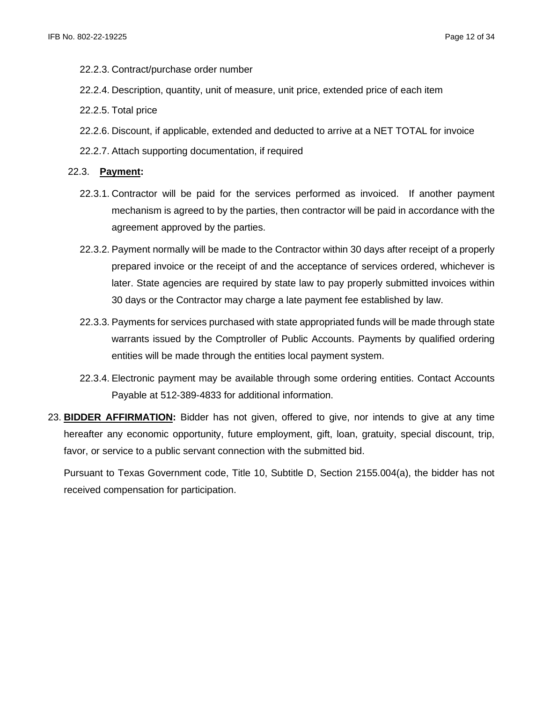- 22.2.3. Contract/purchase order number
- 22.2.4. Description, quantity, unit of measure, unit price, extended price of each item
- 22.2.5. Total price
- 22.2.6. Discount, if applicable, extended and deducted to arrive at a NET TOTAL for invoice
- 22.2.7. Attach supporting documentation, if required

#### 22.3. **Payment:**

- 22.3.1. Contractor will be paid for the services performed as invoiced. If another payment mechanism is agreed to by the parties, then contractor will be paid in accordance with the agreement approved by the parties.
- 22.3.2. Payment normally will be made to the Contractor within 30 days after receipt of a properly prepared invoice or the receipt of and the acceptance of services ordered, whichever is later. State agencies are required by state law to pay properly submitted invoices within 30 days or the Contractor may charge a late payment fee established by law.
- 22.3.3. Payments for services purchased with state appropriated funds will be made through state warrants issued by the Comptroller of Public Accounts. Payments by qualified ordering entities will be made through the entities local payment system.
- 22.3.4. Electronic payment may be available through some ordering entities. Contact Accounts Payable at 512-389-4833 for additional information.
- 23. **BIDDER AFFIRMATION:** Bidder has not given, offered to give, nor intends to give at any time hereafter any economic opportunity, future employment, gift, loan, gratuity, special discount, trip, favor, or service to a public servant connection with the submitted bid.

Pursuant to Texas Government code, Title 10, Subtitle D, Section 2155.004(a), the bidder has not received compensation for participation.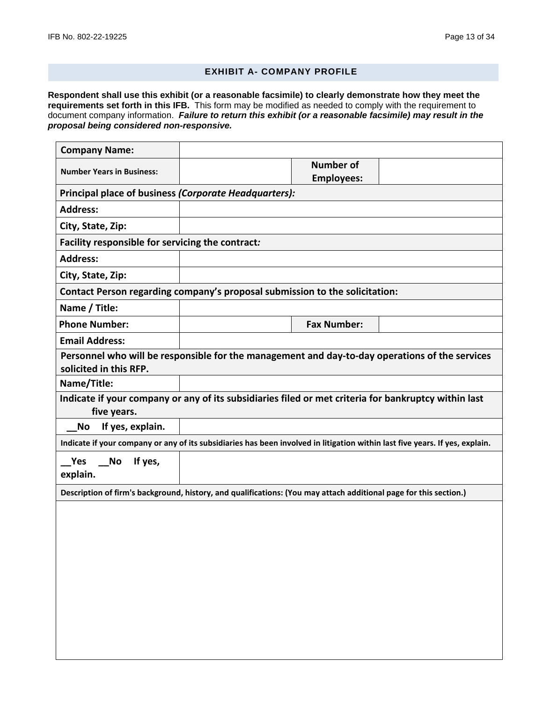#### **EXHIBIT A- COMPANY PROFILE**

**Respondent shall use this exhibit (or a reasonable facsimile) to clearly demonstrate how they meet the requirements set forth in this IFB.** This form may be modified as needed to comply with the requirement to document company information. *Failure to return this exhibit (or a reasonable facsimile) may result in the proposal being considered non-responsive.*

| <b>Company Name:</b>                                                                                                         |  |                                       |  |  |  |
|------------------------------------------------------------------------------------------------------------------------------|--|---------------------------------------|--|--|--|
| <b>Number Years in Business:</b>                                                                                             |  | <b>Number of</b><br><b>Employees:</b> |  |  |  |
| Principal place of business (Corporate Headquarters):                                                                        |  |                                       |  |  |  |
| <b>Address:</b>                                                                                                              |  |                                       |  |  |  |
| City, State, Zip:                                                                                                            |  |                                       |  |  |  |
| Facility responsible for servicing the contract:                                                                             |  |                                       |  |  |  |
| <b>Address:</b>                                                                                                              |  |                                       |  |  |  |
| City, State, Zip:                                                                                                            |  |                                       |  |  |  |
| Contact Person regarding company's proposal submission to the solicitation:                                                  |  |                                       |  |  |  |
| Name / Title:                                                                                                                |  |                                       |  |  |  |
| <b>Phone Number:</b>                                                                                                         |  | <b>Fax Number:</b>                    |  |  |  |
| <b>Email Address:</b>                                                                                                        |  |                                       |  |  |  |
| Personnel who will be responsible for the management and day-to-day operations of the services<br>solicited in this RFP.     |  |                                       |  |  |  |
| Name/Title:                                                                                                                  |  |                                       |  |  |  |
| Indicate if your company or any of its subsidiaries filed or met criteria for bankruptcy within last<br>five years.          |  |                                       |  |  |  |
| If yes, explain.<br>No                                                                                                       |  |                                       |  |  |  |
| Indicate if your company or any of its subsidiaries has been involved in litigation within last five years. If yes, explain. |  |                                       |  |  |  |
| Yes<br>If yes,<br><b>No</b><br>explain.                                                                                      |  |                                       |  |  |  |
| Description of firm's background, history, and qualifications: (You may attach additional page for this section.)            |  |                                       |  |  |  |
|                                                                                                                              |  |                                       |  |  |  |
|                                                                                                                              |  |                                       |  |  |  |
|                                                                                                                              |  |                                       |  |  |  |
|                                                                                                                              |  |                                       |  |  |  |
|                                                                                                                              |  |                                       |  |  |  |
|                                                                                                                              |  |                                       |  |  |  |
|                                                                                                                              |  |                                       |  |  |  |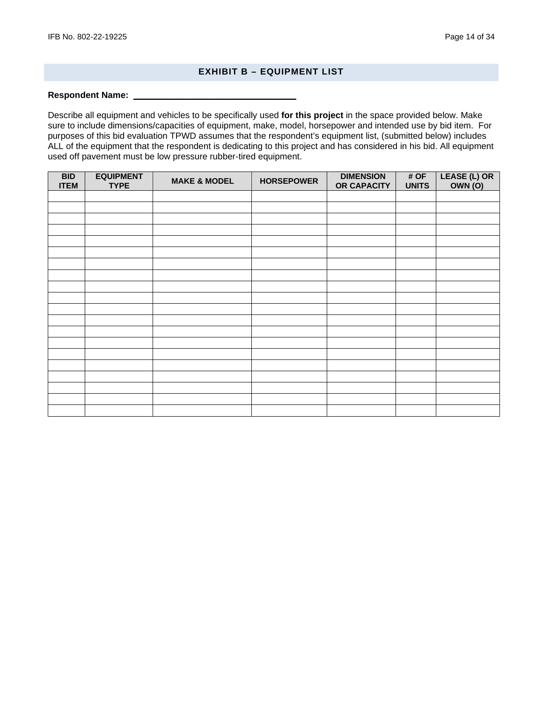## **EXHIBIT B – EQUIPMENT LIST**

#### **Respondent Name: \_\_\_\_\_\_\_\_\_\_\_\_\_\_\_\_\_\_\_\_\_\_\_\_\_\_\_\_\_\_\_\_\_**

Describe all equipment and vehicles to be specifically used **for this project** in the space provided below. Make sure to include dimensions/capacities of equipment, make, model, horsepower and intended use by bid item. For purposes of this bid evaluation TPWD assumes that the respondent's equipment list, (submitted below) includes ALL of the equipment that the respondent is dedicating to this project and has considered in his bid. All equipment used off pavement must be low pressure rubber-tired equipment.

| <b>BID</b><br><b>ITEM</b> | <b>EQUIPMENT</b><br><b>TYPE</b> | <b>MAKE &amp; MODEL</b> | <b>HORSEPOWER</b> | <b>DIMENSION</b><br>OR CAPACITY | # OF<br><b>UNITS</b> | LEASE (L) OR<br><b>OWN (O)</b> |
|---------------------------|---------------------------------|-------------------------|-------------------|---------------------------------|----------------------|--------------------------------|
|                           |                                 |                         |                   |                                 |                      |                                |
|                           |                                 |                         |                   |                                 |                      |                                |
|                           |                                 |                         |                   |                                 |                      |                                |
|                           |                                 |                         |                   |                                 |                      |                                |
|                           |                                 |                         |                   |                                 |                      |                                |
|                           |                                 |                         |                   |                                 |                      |                                |
|                           |                                 |                         |                   |                                 |                      |                                |
|                           |                                 |                         |                   |                                 |                      |                                |
|                           |                                 |                         |                   |                                 |                      |                                |
|                           |                                 |                         |                   |                                 |                      |                                |
|                           |                                 |                         |                   |                                 |                      |                                |
|                           |                                 |                         |                   |                                 |                      |                                |
|                           |                                 |                         |                   |                                 |                      |                                |
|                           |                                 |                         |                   |                                 |                      |                                |
|                           |                                 |                         |                   |                                 |                      |                                |
|                           |                                 |                         |                   |                                 |                      |                                |
|                           |                                 |                         |                   |                                 |                      |                                |
|                           |                                 |                         |                   |                                 |                      |                                |
|                           |                                 |                         |                   |                                 |                      |                                |
|                           |                                 |                         |                   |                                 |                      |                                |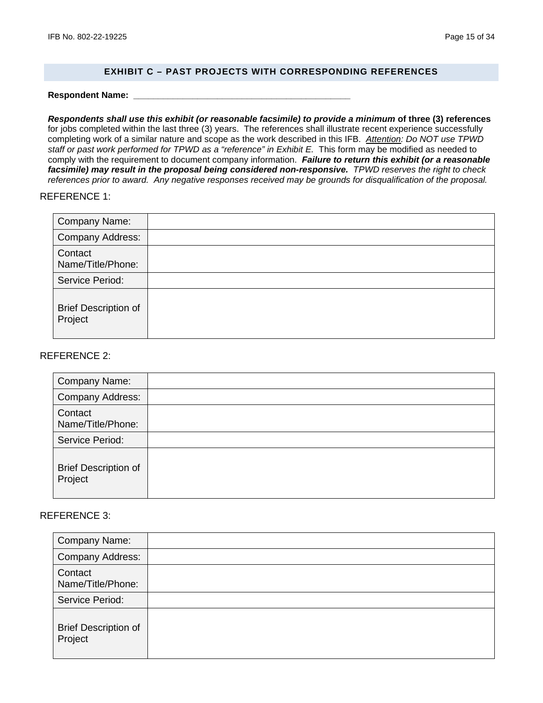## **EXHIBIT C – PAST PROJECTS WITH CORRESPONDING REFERENCES**

**Respondent Name: \_\_\_\_\_\_\_\_\_\_\_\_\_\_\_\_\_\_\_\_\_\_\_\_\_\_\_\_\_\_\_\_\_\_\_\_\_\_\_\_\_\_\_\_**

*Respondents shall use this exhibit (or reasonable facsimile) to provide a minimum* **of three (3) references** for jobs completed within the last three (3) years. The references shall illustrate recent experience successfully completing work of a similar nature and scope as the work described in this IFB. *Attention: Do NOT use TPWD*  staff or past work performed for TPWD as a "reference" in Exhibit E. This form may be modified as needed to comply with the requirement to document company information. *Failure to return this exhibit (or a reasonable facsimile) may result in the proposal being considered non-responsive. TPWD reserves the right to check references prior to award. Any negative responses received may be grounds for disqualification of the proposal.*

## REFERENCE 1:

| <b>Company Name:</b>                   |  |
|----------------------------------------|--|
| <b>Company Address:</b>                |  |
| Contact<br>Name/Title/Phone:           |  |
| Service Period:                        |  |
| <b>Brief Description of</b><br>Project |  |

### REFERENCE 2:

| <b>Company Name:</b>                   |  |
|----------------------------------------|--|
| <b>Company Address:</b>                |  |
| Contact<br>Name/Title/Phone:           |  |
| Service Period:                        |  |
| <b>Brief Description of</b><br>Project |  |

#### REFERENCE 3:

| Company Name:                          |  |
|----------------------------------------|--|
| <b>Company Address:</b>                |  |
| Contact<br>Name/Title/Phone:           |  |
| Service Period:                        |  |
| <b>Brief Description of</b><br>Project |  |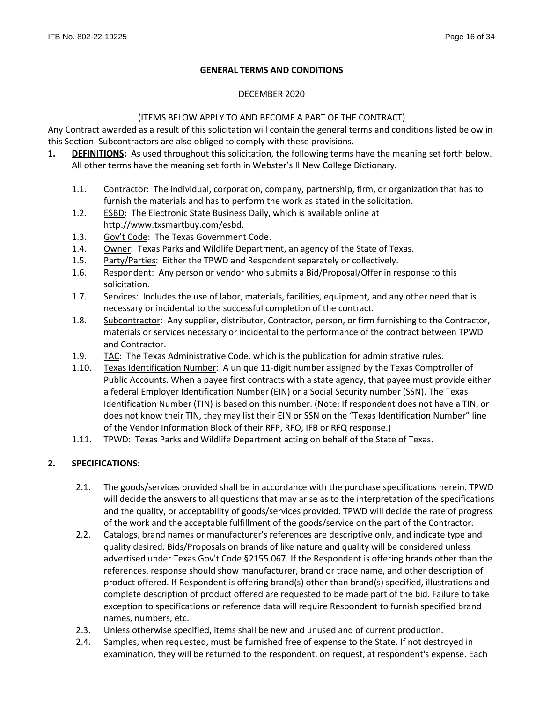# **GENERAL TERMS AND CONDITIONS**

## DECEMBER 2020

# (ITEMS BELOW APPLY TO AND BECOME A PART OF THE CONTRACT)

Any Contract awarded as a result of this solicitation will contain the general terms and conditions listed below in this Section. Subcontractors are also obliged to comply with these provisions.

- **1. DEFINITIONS:** As used throughout this solicitation, the following terms have the meaning set forth below. All other terms have the meaning set forth in Webster's II New College Dictionary.
	- 1.1. Contractor: The individual, corporation, company, partnership, firm, or organization that has to furnish the materials and has to perform the work as stated in the solicitation.
	- 1.2. ESBD: The Electronic State Business Daily, which is available online at http://www.txsmartbuy.com/esbd.
	- 1.3. Gov't Code: The Texas Government Code.
	- 1.4. Owner: Texas Parks and Wildlife Department, an agency of the State of Texas.
	- 1.5. Party/Parties: Either the TPWD and Respondent separately or collectively.
	- 1.6. Respondent: Any person or vendor who submits a Bid/Proposal/Offer in response to this solicitation.
	- 1.7. Services: Includes the use of labor, materials, facilities, equipment, and any other need that is necessary or incidental to the successful completion of the contract.
	- 1.8. Subcontractor: Any supplier, distributor, Contractor, person, or firm furnishing to the Contractor, materials or services necessary or incidental to the performance of the contract between TPWD and Contractor.
	- 1.9. TAC: The Texas Administrative Code, which is the publication for administrative rules.
	- 1.10. Texas Identification Number: A unique 11-digit number assigned by the Texas Comptroller of Public Accounts. When a payee first contracts with a state agency, that payee must provide either a federal Employer Identification Number (EIN) or a Social Security number (SSN). The Texas Identification Number (TIN) is based on this number. (Note: If respondent does not have a TIN, or does not know their TIN, they may list their EIN or SSN on the "Texas Identification Number" line of the Vendor Information Block of their RFP, RFO, IFB or RFQ response.)
	- 1.11. TPWD: Texas Parks and Wildlife Department acting on behalf of the State of Texas.

# **2. SPECIFICATIONS:**

- 2.1. The goods/services provided shall be in accordance with the purchase specifications herein. TPWD will decide the answers to all questions that may arise as to the interpretation of the specifications and the quality, or acceptability of goods/services provided. TPWD will decide the rate of progress of the work and the acceptable fulfillment of the goods/service on the part of the Contractor.
- 2.2. Catalogs, brand names or manufacturer's references are descriptive only, and indicate type and quality desired. Bids/Proposals on brands of like nature and quality will be considered unless advertised under Texas Gov't Code §2155.067. If the Respondent is offering brands other than the references, response should show manufacturer, brand or trade name, and other description of product offered. If Respondent is offering brand(s) other than brand(s) specified, illustrations and complete description of product offered are requested to be made part of the bid. Failure to take exception to specifications or reference data will require Respondent to furnish specified brand names, numbers, etc.
- 2.3. Unless otherwise specified, items shall be new and unused and of current production.
- 2.4. Samples, when requested, must be furnished free of expense to the State. If not destroyed in examination, they will be returned to the respondent, on request, at respondent's expense. Each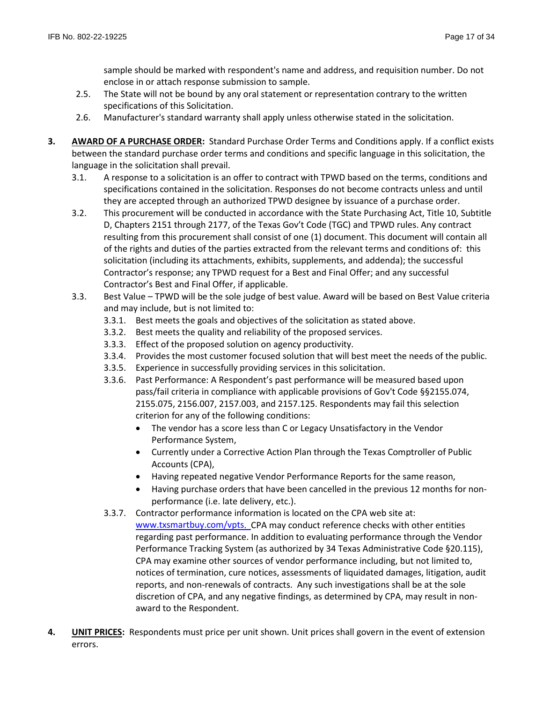sample should be marked with respondent's name and address, and requisition number. Do not enclose in or attach response submission to sample.

- 2.5. The State will not be bound by any oral statement or representation contrary to the written specifications of this Solicitation.
- 2.6. Manufacturer's standard warranty shall apply unless otherwise stated in the solicitation.
- **3. AWARD OF A PURCHASE ORDER:** Standard Purchase Order Terms and Conditions apply. If a conflict exists between the standard purchase order terms and conditions and specific language in this solicitation, the language in the solicitation shall prevail.
	- 3.1. A response to a solicitation is an offer to contract with TPWD based on the terms, conditions and specifications contained in the solicitation. Responses do not become contracts unless and until they are accepted through an authorized TPWD designee by issuance of a purchase order.
	- 3.2. This procurement will be conducted in accordance with the State Purchasing Act, Title 10, Subtitle D, Chapters 2151 through 2177, of the Texas Gov't Code (TGC) and TPWD rules. Any contract resulting from this procurement shall consist of one (1) document. This document will contain all of the rights and duties of the parties extracted from the relevant terms and conditions of: this solicitation (including its attachments, exhibits, supplements, and addenda); the successful Contractor's response; any TPWD request for a Best and Final Offer; and any successful Contractor's Best and Final Offer, if applicable.
	- 3.3. Best Value TPWD will be the sole judge of best value. Award will be based on Best Value criteria and may include, but is not limited to:
		- 3.3.1. Best meets the goals and objectives of the solicitation as stated above.
		- 3.3.2. Best meets the quality and reliability of the proposed services.
		- 3.3.3. Effect of the proposed solution on agency productivity.
		- 3.3.4. Provides the most customer focused solution that will best meet the needs of the public.
		- 3.3.5. Experience in successfully providing services in this solicitation.
		- 3.3.6. Past Performance: A Respondent's past performance will be measured based upon pass/fail criteria in compliance with applicable provisions of Gov't Code §§2155.074, 2155.075, 2156.007, 2157.003, and 2157.125. Respondents may fail this selection criterion for any of the following conditions:
			- The vendor has a score less than C or Legacy Unsatisfactory in the Vendor Performance System,
			- Currently under a Corrective Action Plan through the Texas Comptroller of Public Accounts (CPA),
			- Having repeated negative Vendor Performance Reports for the same reason,
			- Having purchase orders that have been cancelled in the previous 12 months for nonperformance (i.e. late delivery, etc.).
		- 3.3.7. Contractor performance information is located on the CPA web site at: [www.txsmartbuy.com/vpts.](http://www.txsmartbuy.com/vpts) CPA may conduct reference checks with other entities regarding past performance. In addition to evaluating performance through the Vendor Performance Tracking System (as authorized by 34 Texas Administrative Code §20.115), CPA may examine other sources of vendor performance including, but not limited to, notices of termination, cure notices, assessments of liquidated damages, litigation, audit reports, and non-renewals of contracts. Any such investigations shall be at the sole discretion of CPA, and any negative findings, as determined by CPA, may result in nonaward to the Respondent.
- **4. UNIT PRICES:** Respondents must price per unit shown. Unit prices shall govern in the event of extension errors.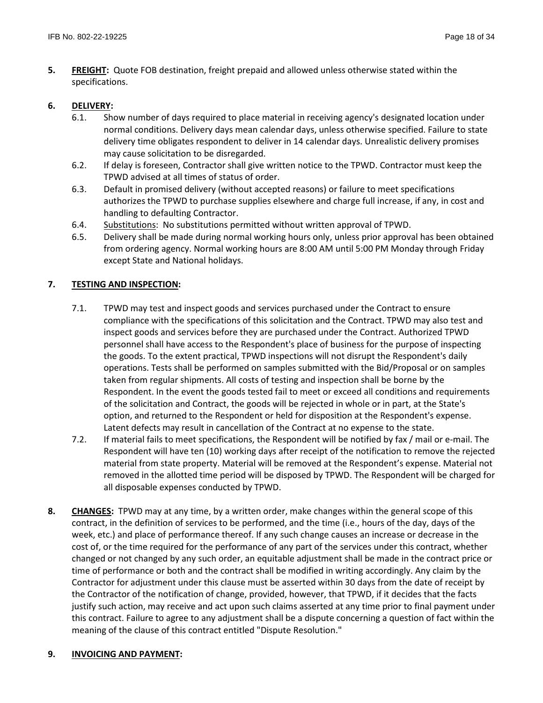**5. FREIGHT:** Quote FOB destination, freight prepaid and allowed unless otherwise stated within the specifications.

## **6. DELIVERY:**

- 6.1. Show number of days required to place material in receiving agency's designated location under normal conditions. Delivery days mean calendar days, unless otherwise specified. Failure to state delivery time obligates respondent to deliver in 14 calendar days. Unrealistic delivery promises may cause solicitation to be disregarded.
- 6.2. If delay is foreseen, Contractor shall give written notice to the TPWD. Contractor must keep the TPWD advised at all times of status of order.
- 6.3. Default in promised delivery (without accepted reasons) or failure to meet specifications authorizes the TPWD to purchase supplies elsewhere and charge full increase, if any, in cost and handling to defaulting Contractor.
- 6.4. Substitutions: No substitutions permitted without written approval of TPWD.
- 6.5. Delivery shall be made during normal working hours only, unless prior approval has been obtained from ordering agency. Normal working hours are 8:00 AM until 5:00 PM Monday through Friday except State and National holidays.

# **7. TESTING AND INSPECTION:**

- 7.1. TPWD may test and inspect goods and services purchased under the Contract to ensure compliance with the specifications of this solicitation and the Contract. TPWD may also test and inspect goods and services before they are purchased under the Contract. Authorized TPWD personnel shall have access to the Respondent's place of business for the purpose of inspecting the goods. To the extent practical, TPWD inspections will not disrupt the Respondent's daily operations. Tests shall be performed on samples submitted with the Bid/Proposal or on samples taken from regular shipments. All costs of testing and inspection shall be borne by the Respondent. In the event the goods tested fail to meet or exceed all conditions and requirements of the solicitation and Contract, the goods will be rejected in whole or in part, at the State's option, and returned to the Respondent or held for disposition at the Respondent's expense. Latent defects may result in cancellation of the Contract at no expense to the state.
- 7.2. If material fails to meet specifications, the Respondent will be notified by fax / mail or e-mail. The Respondent will have ten (10) working days after receipt of the notification to remove the rejected material from state property. Material will be removed at the Respondent's expense. Material not removed in the allotted time period will be disposed by TPWD. The Respondent will be charged for all disposable expenses conducted by TPWD.
- **8. CHANGES:** TPWD may at any time, by a written order, make changes within the general scope of this contract, in the definition of services to be performed, and the time (i.e., hours of the day, days of the week, etc.) and place of performance thereof. If any such change causes an increase or decrease in the cost of, or the time required for the performance of any part of the services under this contract, whether changed or not changed by any such order, an equitable adjustment shall be made in the contract price or time of performance or both and the contract shall be modified in writing accordingly. Any claim by the Contractor for adjustment under this clause must be asserted within 30 days from the date of receipt by the Contractor of the notification of change, provided, however, that TPWD, if it decides that the facts justify such action, may receive and act upon such claims asserted at any time prior to final payment under this contract. Failure to agree to any adjustment shall be a dispute concerning a question of fact within the meaning of the clause of this contract entitled "Dispute Resolution."

# **9. INVOICING AND PAYMENT:**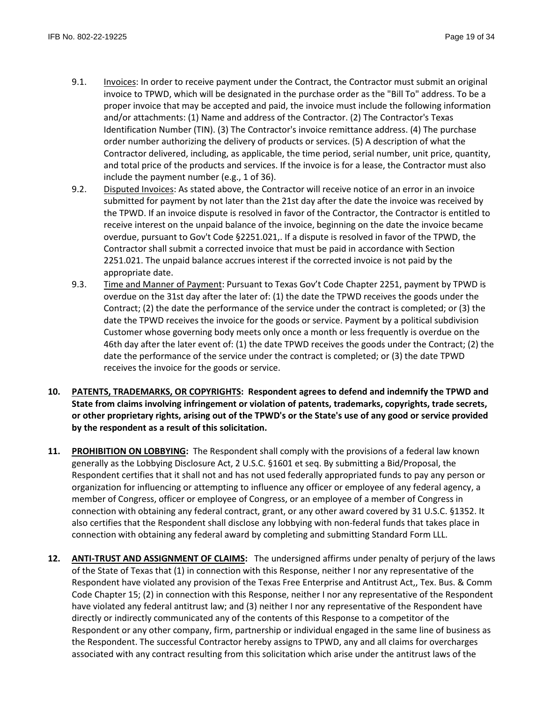- 9.1. Invoices: In order to receive payment under the Contract, the Contractor must submit an original invoice to TPWD, which will be designated in the purchase order as the "Bill To" address. To be a proper invoice that may be accepted and paid, the invoice must include the following information and/or attachments: (1) Name and address of the Contractor. (2) The Contractor's Texas Identification Number (TIN). (3) The Contractor's invoice remittance address. (4) The purchase order number authorizing the delivery of products or services. (5) A description of what the Contractor delivered, including, as applicable, the time period, serial number, unit price, quantity, and total price of the products and services. If the invoice is for a lease, the Contractor must also include the payment number (e.g., 1 of 36).
- 9.2. Disputed Invoices: As stated above, the Contractor will receive notice of an error in an invoice submitted for payment by not later than the 21st day after the date the invoice was received by the TPWD. If an invoice dispute is resolved in favor of the Contractor, the Contractor is entitled to receive interest on the unpaid balance of the invoice, beginning on the date the invoice became overdue, pursuant to Gov't Code §2251.021,. If a dispute is resolved in favor of the TPWD, the Contractor shall submit a corrected invoice that must be paid in accordance with Section 2251.021. The unpaid balance accrues interest if the corrected invoice is not paid by the appropriate date.
- 9.3. Time and Manner of Payment: Pursuant to Texas Gov't Code Chapter 2251, payment by TPWD is overdue on the 31st day after the later of: (1) the date the TPWD receives the goods under the Contract; (2) the date the performance of the service under the contract is completed; or (3) the date the TPWD receives the invoice for the goods or service. Payment by a political subdivision Customer whose governing body meets only once a month or less frequently is overdue on the 46th day after the later event of: (1) the date TPWD receives the goods under the Contract; (2) the date the performance of the service under the contract is completed; or (3) the date TPWD receives the invoice for the goods or service.
- **10. PATENTS, TRADEMARKS, OR COPYRIGHTS: Respondent agrees to defend and indemnify the TPWD and State from claims involving infringement or violation of patents, trademarks, copyrights, trade secrets, or other proprietary rights, arising out of the TPWD's or the State's use of any good or service provided by the respondent as a result of this solicitation.**
- **11. PROHIBITION ON LOBBYING:** The Respondent shall comply with the provisions of a federal law known generally as the Lobbying Disclosure Act, 2 U.S.C. §1601 et seq. By submitting a Bid/Proposal, the Respondent certifies that it shall not and has not used federally appropriated funds to pay any person or organization for influencing or attempting to influence any officer or employee of any federal agency, a member of Congress, officer or employee of Congress, or an employee of a member of Congress in connection with obtaining any federal contract, grant, or any other award covered by 31 U.S.C. §1352. It also certifies that the Respondent shall disclose any lobbying with non-federal funds that takes place in connection with obtaining any federal award by completing and submitting Standard Form LLL.
- **12. ANTI-TRUST AND ASSIGNMENT OF CLAIMS:** The undersigned affirms under penalty of perjury of the laws of the State of Texas that (1) in connection with this Response, neither I nor any representative of the Respondent have violated any provision of the Texas Free Enterprise and Antitrust Act,, Tex. Bus. & Comm Code Chapter 15; (2) in connection with this Response, neither I nor any representative of the Respondent have violated any federal antitrust law; and (3) neither I nor any representative of the Respondent have directly or indirectly communicated any of the contents of this Response to a competitor of the Respondent or any other company, firm, partnership or individual engaged in the same line of business as the Respondent. The successful Contractor hereby assigns to TPWD, any and all claims for overcharges associated with any contract resulting from this solicitation which arise under the antitrust laws of the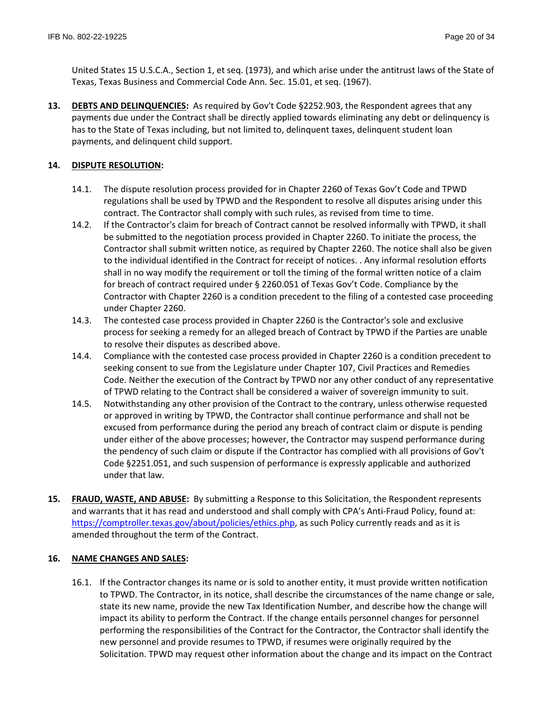United States 15 U.S.C.A., Section 1, et seq. (1973), and which arise under the antitrust laws of the State of Texas, Texas Business and Commercial Code Ann. Sec. 15.01, et seq. (1967).

**13. DEBTS AND DELINQUENCIES:** As required by Gov't Code §2252.903, the Respondent agrees that any payments due under the Contract shall be directly applied towards eliminating any debt or delinquency is has to the State of Texas including, but not limited to, delinquent taxes, delinquent student loan payments, and delinquent child support.

# **14. DISPUTE RESOLUTION:**

- 14.1. The dispute resolution process provided for in Chapter 2260 of Texas Gov't Code and TPWD regulations shall be used by TPWD and the Respondent to resolve all disputes arising under this contract. The Contractor shall comply with such rules, as revised from time to time.
- 14.2. If the Contractor's claim for breach of Contract cannot be resolved informally with TPWD, it shall be submitted to the negotiation process provided in Chapter 2260. To initiate the process, the Contractor shall submit written notice, as required by Chapter 2260. The notice shall also be given to the individual identified in the Contract for receipt of notices. . Any informal resolution efforts shall in no way modify the requirement or toll the timing of the formal written notice of a claim for breach of contract required under § 2260.051 of Texas Gov't Code. Compliance by the Contractor with Chapter 2260 is a condition precedent to the filing of a contested case proceeding under Chapter 2260.
- 14.3. The contested case process provided in Chapter 2260 is the Contractor's sole and exclusive process for seeking a remedy for an alleged breach of Contract by TPWD if the Parties are unable to resolve their disputes as described above.
- 14.4. Compliance with the contested case process provided in Chapter 2260 is a condition precedent to seeking consent to sue from the Legislature under Chapter 107, Civil Practices and Remedies Code. Neither the execution of the Contract by TPWD nor any other conduct of any representative of TPWD relating to the Contract shall be considered a waiver of sovereign immunity to suit.
- 14.5. Notwithstanding any other provision of the Contract to the contrary, unless otherwise requested or approved in writing by TPWD, the Contractor shall continue performance and shall not be excused from performance during the period any breach of contract claim or dispute is pending under either of the above processes; however, the Contractor may suspend performance during the pendency of such claim or dispute if the Contractor has complied with all provisions of Gov't Code §2251.051, and such suspension of performance is expressly applicable and authorized under that law.
- **15. FRAUD, WASTE, AND ABUSE:** By submitting a Response to this Solicitation, the Respondent represents and warrants that it has read and understood and shall comply with CPA's Anti-Fraud Policy, found at: https://comptroller.texas.gov/about/policies/ethics.php, as such Policy currently reads and as it is amended throughout the term of the Contract.

# **16. NAME CHANGES AND SALES:**

16.1. If the Contractor changes its name or is sold to another entity, it must provide written notification to TPWD. The Contractor, in its notice, shall describe the circumstances of the name change or sale, state its new name, provide the new Tax Identification Number, and describe how the change will impact its ability to perform the Contract. If the change entails personnel changes for personnel performing the responsibilities of the Contract for the Contractor, the Contractor shall identify the new personnel and provide resumes to TPWD, if resumes were originally required by the Solicitation. TPWD may request other information about the change and its impact on the Contract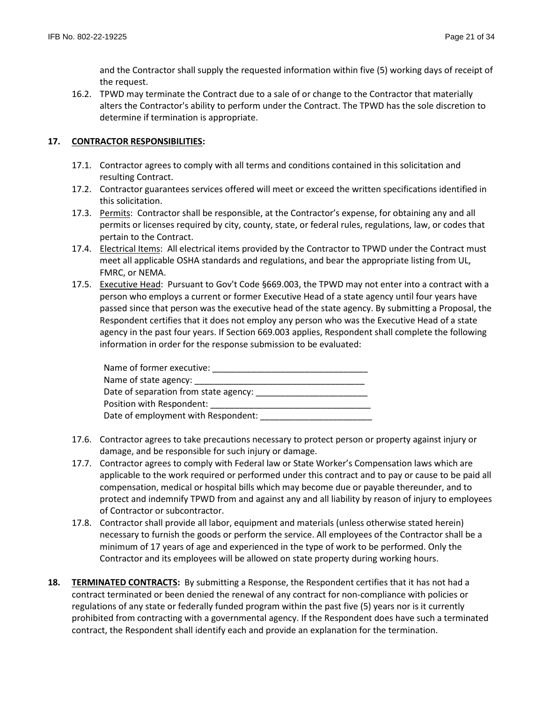and the Contractor shall supply the requested information within five (5) working days of receipt of the request.

16.2. TPWD may terminate the Contract due to a sale of or change to the Contractor that materially alters the Contractor's ability to perform under the Contract. The TPWD has the sole discretion to determine if termination is appropriate.

# **17. CONTRACTOR RESPONSIBILITIES:**

- 17.1. Contractor agrees to comply with all terms and conditions contained in this solicitation and resulting Contract.
- 17.2. Contractor guarantees services offered will meet or exceed the written specifications identified in this solicitation.
- 17.3. Permits: Contractor shall be responsible, at the Contractor's expense, for obtaining any and all permits or licenses required by city, county, state, or federal rules, regulations, law, or codes that pertain to the Contract.
- 17.4. Electrical Items: All electrical items provided by the Contractor to TPWD under the Contract must meet all applicable OSHA standards and regulations, and bear the appropriate listing from UL, FMRC, or NEMA.
- 17.5. Executive Head: Pursuant to Gov't Code §669.003, the TPWD may not enter into a contract with a person who employs a current or former Executive Head of a state agency until four years have passed since that person was the executive head of the state agency. By submitting a Proposal, the Respondent certifies that it does not employ any person who was the Executive Head of a state agency in the past four years. If Section 669.003 applies, Respondent shall complete the following information in order for the response submission to be evaluated:

| Name of former executive:             |  |
|---------------------------------------|--|
| Name of state agency:                 |  |
| Date of separation from state agency: |  |
| Position with Respondent:             |  |
| Date of employment with Respondent:   |  |

- 17.6. Contractor agrees to take precautions necessary to protect person or property against injury or damage, and be responsible for such injury or damage.
- 17.7. Contractor agrees to comply with Federal law or State Worker's Compensation laws which are applicable to the work required or performed under this contract and to pay or cause to be paid all compensation, medical or hospital bills which may become due or payable thereunder, and to protect and indemnify TPWD from and against any and all liability by reason of injury to employees of Contractor or subcontractor.
- 17.8. Contractor shall provide all labor, equipment and materials (unless otherwise stated herein) necessary to furnish the goods or perform the service. All employees of the Contractor shall be a minimum of 17 years of age and experienced in the type of work to be performed. Only the Contractor and its employees will be allowed on state property during working hours.
- **18. TERMINATED CONTRACTS:** By submitting a Response, the Respondent certifies that it has not had a contract terminated or been denied the renewal of any contract for non-compliance with policies or regulations of any state or federally funded program within the past five (5) years nor is it currently prohibited from contracting with a governmental agency. If the Respondent does have such a terminated contract, the Respondent shall identify each and provide an explanation for the termination.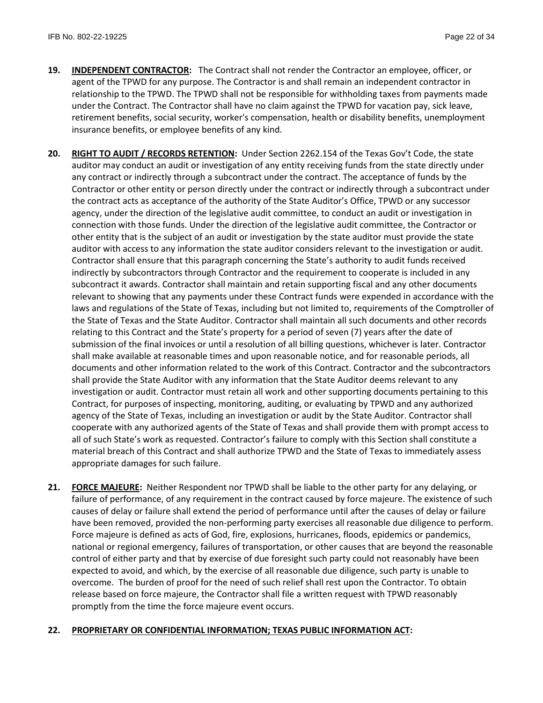- **19. INDEPENDENT CONTRACTOR:** The Contract shall not render the Contractor an employee, officer, or agent of the TPWD for any purpose. The Contractor is and shall remain an independent contractor in relationship to the TPWD. The TPWD shall not be responsible for withholding taxes from payments made under the Contract. The Contractor shall have no claim against the TPWD for vacation pay, sick leave, retirement benefits, social security, worker's compensation, health or disability benefits, unemployment insurance benefits, or employee benefits of any kind.
- **20. RIGHT TO AUDIT / RECORDS RETENTION:** Under Section 2262.154 of the Texas Gov't Code, the state auditor may conduct an audit or investigation of any entity receiving funds from the state directly under any contract or indirectly through a subcontract under the contract. The acceptance of funds by the Contractor or other entity or person directly under the contract or indirectly through a subcontract under the contract acts as acceptance of the authority of the State Auditor's Office, TPWD or any successor agency, under the direction of the legislative audit committee, to conduct an audit or investigation in connection with those funds. Under the direction of the legislative audit committee, the Contractor or other entity that is the subject of an audit or investigation by the state auditor must provide the state auditor with access to any information the state auditor considers relevant to the investigation or audit. Contractor shall ensure that this paragraph concerning the State's authority to audit funds received indirectly by subcontractors through Contractor and the requirement to cooperate is included in any subcontract it awards. Contractor shall maintain and retain supporting fiscal and any other documents relevant to showing that any payments under these Contract funds were expended in accordance with the laws and regulations of the State of Texas, including but not limited to, requirements of the Comptroller of the State of Texas and the State Auditor. Contractor shall maintain all such documents and other records relating to this Contract and the State's property for a period of seven (7) years after the date of submission of the final invoices or until a resolution of all billing questions, whichever is later. Contractor shall make available at reasonable times and upon reasonable notice, and for reasonable periods, all documents and other information related to the work of this Contract. Contractor and the subcontractors shall provide the State Auditor with any information that the State Auditor deems relevant to any investigation or audit. Contractor must retain all work and other supporting documents pertaining to this Contract, for purposes of inspecting, monitoring, auditing, or evaluating by TPWD and any authorized agency of the State of Texas, including an investigation or audit by the State Auditor. Contractor shall cooperate with any authorized agents of the State of Texas and shall provide them with prompt access to all of such State's work as requested. Contractor's failure to comply with this Section shall constitute a material breach of this Contract and shall authorize TPWD and the State of Texas to immediately assess appropriate damages for such failure.
- **21. FORCE MAJEURE:** Neither Respondent nor TPWD shall be liable to the other party for any delaying, or failure of performance, of any requirement in the contract caused by force majeure. The existence of such causes of delay or failure shall extend the period of performance until after the causes of delay or failure have been removed, provided the non-performing party exercises all reasonable due diligence to perform. Force majeure is defined as acts of God, fire, explosions, hurricanes, floods, epidemics or pandemics, national or regional emergency, failures of transportation, or other causes that are beyond the reasonable control of either party and that by exercise of due foresight such party could not reasonably have been expected to avoid, and which, by the exercise of all reasonable due diligence, such party is unable to overcome. The burden of proof for the need of such relief shall rest upon the Contractor. To obtain release based on force majeure, the Contractor shall file a written request with TPWD reasonably promptly from the time the force majeure event occurs.

# **22. PROPRIETARY OR CONFIDENTIAL INFORMATION; TEXAS PUBLIC INFORMATION ACT:**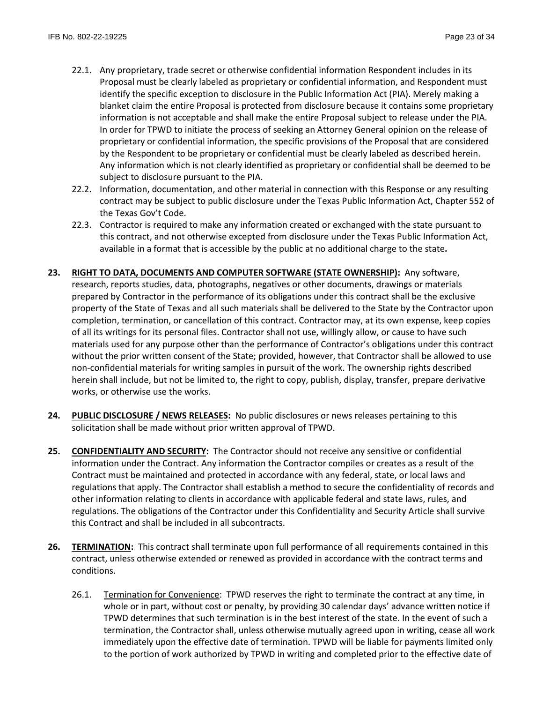- 22.1. Any proprietary, trade secret or otherwise confidential information Respondent includes in its Proposal must be clearly labeled as proprietary or confidential information, and Respondent must identify the specific exception to disclosure in the Public Information Act (PIA). Merely making a blanket claim the entire Proposal is protected from disclosure because it contains some proprietary information is not acceptable and shall make the entire Proposal subject to release under the PIA. In order for TPWD to initiate the process of seeking an Attorney General opinion on the release of proprietary or confidential information, the specific provisions of the Proposal that are considered by the Respondent to be proprietary or confidential must be clearly labeled as described herein. Any information which is not clearly identified as proprietary or confidential shall be deemed to be subject to disclosure pursuant to the PIA.
- 22.2. Information, documentation, and other material in connection with this Response or any resulting contract may be subject to public disclosure under the Texas Public Information Act, Chapter 552 of the Texas Gov't Code.
- 22.3. Contractor is required to make any information created or exchanged with the state pursuant to this contract, and not otherwise excepted from disclosure under the Texas Public Information Act, available in a format that is accessible by the public at no additional charge to the state**.**
- **23. RIGHT TO DATA, DOCUMENTS AND COMPUTER SOFTWARE (STATE OWNERSHIP):** Any software, research, reports studies, data, photographs, negatives or other documents, drawings or materials prepared by Contractor in the performance of its obligations under this contract shall be the exclusive property of the State of Texas and all such materials shall be delivered to the State by the Contractor upon completion, termination, or cancellation of this contract. Contractor may, at its own expense, keep copies of all its writings for its personal files. Contractor shall not use, willingly allow, or cause to have such materials used for any purpose other than the performance of Contractor's obligations under this contract without the prior written consent of the State; provided, however, that Contractor shall be allowed to use non-confidential materials for writing samples in pursuit of the work. The ownership rights described herein shall include, but not be limited to, the right to copy, publish, display, transfer, prepare derivative works, or otherwise use the works.
- **24. PUBLIC DISCLOSURE / NEWS RELEASES:** No public disclosures or news releases pertaining to this solicitation shall be made without prior written approval of TPWD.
- **25. CONFIDENTIALITY AND SECURITY:** The Contractor should not receive any sensitive or confidential information under the Contract. Any information the Contractor compiles or creates as a result of the Contract must be maintained and protected in accordance with any federal, state, or local laws and regulations that apply. The Contractor shall establish a method to secure the confidentiality of records and other information relating to clients in accordance with applicable federal and state laws, rules, and regulations. The obligations of the Contractor under this Confidentiality and Security Article shall survive this Contract and shall be included in all subcontracts.
- **26. TERMINATION:** This contract shall terminate upon full performance of all requirements contained in this contract, unless otherwise extended or renewed as provided in accordance with the contract terms and conditions.
	- 26.1. Termination for Convenience: TPWD reserves the right to terminate the contract at any time, in whole or in part, without cost or penalty, by providing 30 calendar days' advance written notice if TPWD determines that such termination is in the best interest of the state. In the event of such a termination, the Contractor shall, unless otherwise mutually agreed upon in writing, cease all work immediately upon the effective date of termination. TPWD will be liable for payments limited only to the portion of work authorized by TPWD in writing and completed prior to the effective date of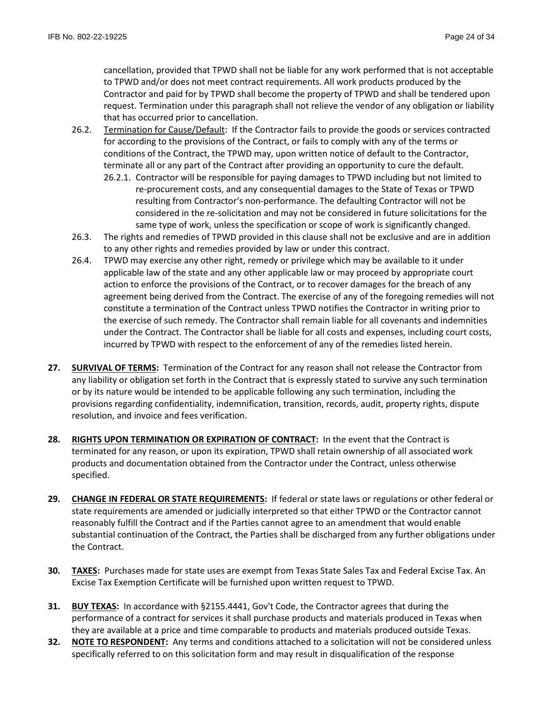cancellation, provided that TPWD shall not be liable for any work performed that is not acceptable to TPWD and/or does not meet contract requirements. All work products produced by the Contractor and paid for by TPWD shall become the property of TPWD and shall be tendered upon request. Termination under this paragraph shall not relieve the vendor of any obligation or liability that has occurred prior to cancellation.

- 26.2. Termination for Cause/Default: If the Contractor fails to provide the goods or services contracted for according to the provisions of the Contract, or fails to comply with any of the terms or conditions of the Contract, the TPWD may, upon written notice of default to the Contractor, terminate all or any part of the Contract after providing an opportunity to cure the default.
	- 26.2.1. Contractor will be responsible for paying damages to TPWD including but not limited to re-procurement costs, and any consequential damages to the State of Texas or TPWD resulting from Contractor's non-performance. The defaulting Contractor will not be considered in the re-solicitation and may not be considered in future solicitations for the same type of work, unless the specification or scope of work is significantly changed.
- 26.3. The rights and remedies of TPWD provided in this clause shall not be exclusive and are in addition to any other rights and remedies provided by law or under this contract.
- 26.4. TPWD may exercise any other right, remedy or privilege which may be available to it under applicable law of the state and any other applicable law or may proceed by appropriate court action to enforce the provisions of the Contract, or to recover damages for the breach of any agreement being derived from the Contract. The exercise of any of the foregoing remedies will not constitute a termination of the Contract unless TPWD notifies the Contractor in writing prior to the exercise of such remedy. The Contractor shall remain liable for all covenants and indemnities under the Contract. The Contractor shall be liable for all costs and expenses, including court costs, incurred by TPWD with respect to the enforcement of any of the remedies listed herein.
- **27. SURVIVAL OF TERMS:** Termination of the Contract for any reason shall not release the Contractor from any liability or obligation set forth in the Contract that is expressly stated to survive any such termination or by its nature would be intended to be applicable following any such termination, including the provisions regarding confidentiality, indemnification, transition, records, audit, property rights, dispute resolution, and invoice and fees verification.
- **28. RIGHTS UPON TERMINATION OR EXPIRATION OF CONTRACT:** In the event that the Contract is terminated for any reason, or upon its expiration, TPWD shall retain ownership of all associated work products and documentation obtained from the Contractor under the Contract, unless otherwise specified.
- **29. CHANGE IN FEDERAL OR STATE REQUIREMENTS:** If federal or state laws or regulations or other federal or state requirements are amended or judicially interpreted so that either TPWD or the Contractor cannot reasonably fulfill the Contract and if the Parties cannot agree to an amendment that would enable substantial continuation of the Contract, the Parties shall be discharged from any further obligations under the Contract.
- **30. TAXES:** Purchases made for state uses are exempt from Texas State Sales Tax and Federal Excise Tax. An Excise Tax Exemption Certificate will be furnished upon written request to TPWD.
- **31. BUY TEXAS:** In accordance with §2155.4441, Gov't Code, the Contractor agrees that during the performance of a contract for services it shall purchase products and materials produced in Texas when they are available at a price and time comparable to products and materials produced outside Texas.
- **32. NOTE TO RESPONDENT:** Any terms and conditions attached to a solicitation will not be considered unless specifically referred to on this solicitation form and may result in disqualification of the response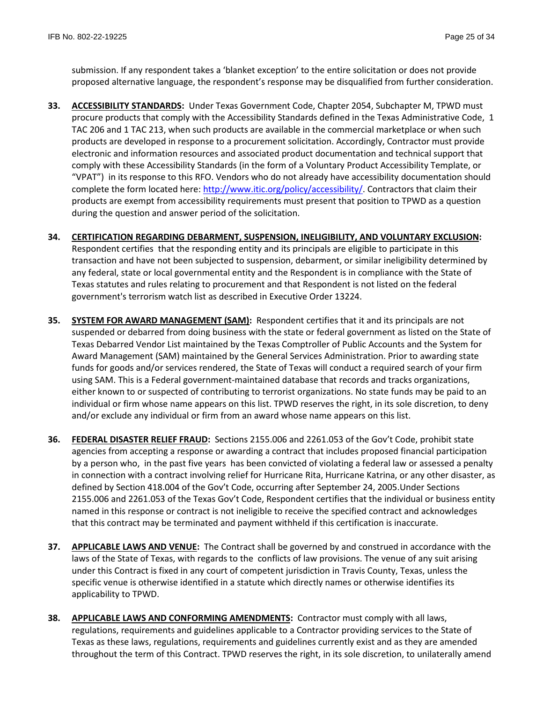submission. If any respondent takes a 'blanket exception' to the entire solicitation or does not provide proposed alternative language, the respondent's response may be disqualified from further consideration.

- **33. ACCESSIBILITY STANDARDS:** Under Texas Government Code, Chapter 2054, Subchapter M, TPWD must procure products that comply with the Accessibility Standards defined in the Texas Administrative Code, 1 TAC 206 and 1 TAC 213, when such products are available in the commercial marketplace or when such products are developed in response to a procurement solicitation. Accordingly, Contractor must provide electronic and information resources and associated product documentation and technical support that comply with these Accessibility Standards (in the form of a Voluntary Product Accessibility Template, or "VPAT") in its response to this RFO. Vendors who do not already have accessibility documentation should complete the form located here: [http://www.itic.org/policy/accessibility/.](http://www.itic.org/policy/accessibility/) Contractors that claim their products are exempt from accessibility requirements must present that position to TPWD as a question during the question and answer period of the solicitation.
- **34. CERTIFICATION REGARDING DEBARMENT, SUSPENSION, INELIGIBILITY, AND VOLUNTARY EXCLUSION:** Respondent certifies that the responding entity and its principals are eligible to participate in this transaction and have not been subjected to suspension, debarment, or similar ineligibility determined by any federal, state or local governmental entity and the Respondent is in compliance with the State of Texas statutes and rules relating to procurement and that Respondent is not listed on the federal government's terrorism watch list as described in Executive Order 13224.
- **35. SYSTEM FOR AWARD MANAGEMENT (SAM):** Respondent certifies that it and its principals are not suspended or debarred from doing business with the state or federal government as listed on the State of Texas Debarred Vendor List maintained by the Texas Comptroller of Public Accounts and the System for Award Management (SAM) maintained by the General Services Administration. Prior to awarding state funds for goods and/or services rendered, the State of Texas will conduct a required search of your firm using SAM. This is a Federal government-maintained database that records and tracks organizations, either known to or suspected of contributing to terrorist organizations. No state funds may be paid to an individual or firm whose name appears on this list. TPWD reserves the right, in its sole discretion, to deny and/or exclude any individual or firm from an award whose name appears on this list.
- **36. FEDERAL DISASTER RELIEF FRAUD:** Sections 2155.006 and 2261.053 of the Gov't Code, prohibit state agencies from accepting a response or awarding a contract that includes proposed financial participation by a person who, in the past five years has been convicted of violating a federal law or assessed a penalty in connection with a contract involving relief for Hurricane Rita, Hurricane Katrina, or any other disaster, as defined by Section 418.004 of the Gov't Code, occurring after September 24, 2005.Under Sections 2155.006 and 2261.053 of the Texas Gov't Code, Respondent certifies that the individual or business entity named in this response or contract is not ineligible to receive the specified contract and acknowledges that this contract may be terminated and payment withheld if this certification is inaccurate.
- **37. APPLICABLE LAWS AND VENUE:** The Contract shall be governed by and construed in accordance with the laws of the State of Texas, with regards to the conflicts of law provisions. The venue of any suit arising under this Contract is fixed in any court of competent jurisdiction in Travis County, Texas, unless the specific venue is otherwise identified in a statute which directly names or otherwise identifies its applicability to TPWD.
- **38. APPLICABLE LAWS AND CONFORMING AMENDMENTS:** Contractor must comply with all laws, regulations, requirements and guidelines applicable to a Contractor providing services to the State of Texas as these laws, regulations, requirements and guidelines currently exist and as they are amended throughout the term of this Contract. TPWD reserves the right, in its sole discretion, to unilaterally amend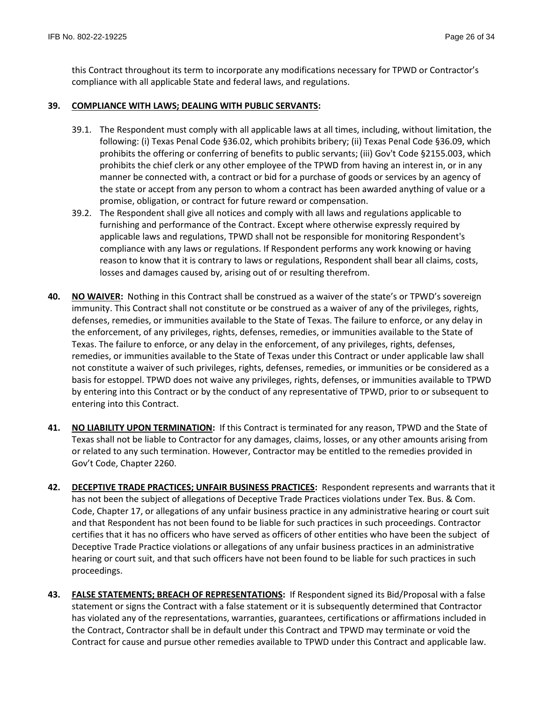this Contract throughout its term to incorporate any modifications necessary for TPWD or Contractor's compliance with all applicable State and federal laws, and regulations.

### **39. COMPLIANCE WITH LAWS; DEALING WITH PUBLIC SERVANTS:**

- 39.1. The Respondent must comply with all applicable laws at all times, including, without limitation, the following: (i) Texas Penal Code §36.02, which prohibits bribery; (ii) Texas Penal Code §36.09, which prohibits the offering or conferring of benefits to public servants; (iii) Gov't Code §2155.003, which prohibits the chief clerk or any other employee of the TPWD from having an interest in, or in any manner be connected with, a contract or bid for a purchase of goods or services by an agency of the state or accept from any person to whom a contract has been awarded anything of value or a promise, obligation, or contract for future reward or compensation.
- 39.2. The Respondent shall give all notices and comply with all laws and regulations applicable to furnishing and performance of the Contract. Except where otherwise expressly required by applicable laws and regulations, TPWD shall not be responsible for monitoring Respondent's compliance with any laws or regulations. If Respondent performs any work knowing or having reason to know that it is contrary to laws or regulations, Respondent shall bear all claims, costs, losses and damages caused by, arising out of or resulting therefrom.
- **40. NO WAIVER:** Nothing in this Contract shall be construed as a waiver of the state's or TPWD's sovereign immunity. This Contract shall not constitute or be construed as a waiver of any of the privileges, rights, defenses, remedies, or immunities available to the State of Texas. The failure to enforce, or any delay in the enforcement, of any privileges, rights, defenses, remedies, or immunities available to the State of Texas. The failure to enforce, or any delay in the enforcement, of any privileges, rights, defenses, remedies, or immunities available to the State of Texas under this Contract or under applicable law shall not constitute a waiver of such privileges, rights, defenses, remedies, or immunities or be considered as a basis for estoppel. TPWD does not waive any privileges, rights, defenses, or immunities available to TPWD by entering into this Contract or by the conduct of any representative of TPWD, prior to or subsequent to entering into this Contract.
- **41. NO LIABILITY UPON TERMINATION:** If this Contract is terminated for any reason, TPWD and the State of Texas shall not be liable to Contractor for any damages, claims, losses, or any other amounts arising from or related to any such termination. However, Contractor may be entitled to the remedies provided in Gov't Code, Chapter 2260.
- **42. DECEPTIVE TRADE PRACTICES; UNFAIR BUSINESS PRACTICES:** Respondent represents and warrants that it has not been the subject of allegations of Deceptive Trade Practices violations under Tex. Bus. & Com. Code, Chapter 17, or allegations of any unfair business practice in any administrative hearing or court suit and that Respondent has not been found to be liable for such practices in such proceedings. Contractor certifies that it has no officers who have served as officers of other entities who have been the subject of Deceptive Trade Practice violations or allegations of any unfair business practices in an administrative hearing or court suit, and that such officers have not been found to be liable for such practices in such proceedings.
- **43. FALSE STATEMENTS; BREACH OF REPRESENTATIONS:** If Respondent signed its Bid/Proposal with a false statement or signs the Contract with a false statement or it is subsequently determined that Contractor has violated any of the representations, warranties, guarantees, certifications or affirmations included in the Contract, Contractor shall be in default under this Contract and TPWD may terminate or void the Contract for cause and pursue other remedies available to TPWD under this Contract and applicable law.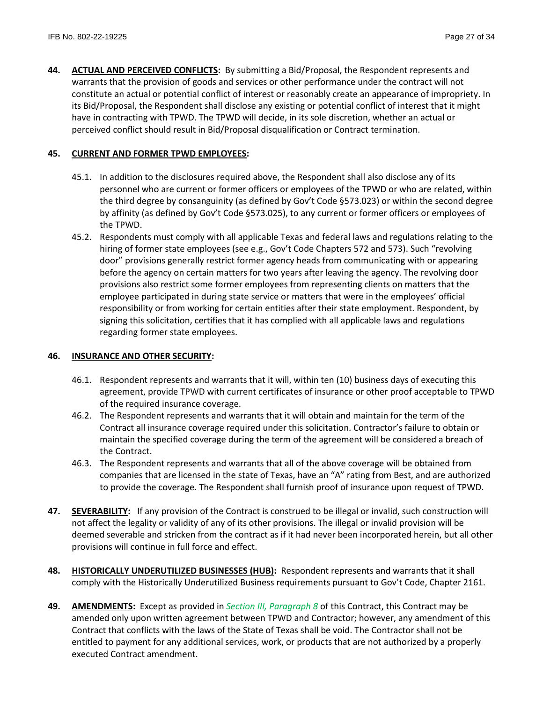**44. ACTUAL AND PERCEIVED CONFLICTS:** By submitting a Bid/Proposal, the Respondent represents and warrants that the provision of goods and services or other performance under the contract will not constitute an actual or potential conflict of interest or reasonably create an appearance of impropriety. In its Bid/Proposal, the Respondent shall disclose any existing or potential conflict of interest that it might have in contracting with TPWD. The TPWD will decide, in its sole discretion, whether an actual or perceived conflict should result in Bid/Proposal disqualification or Contract termination.

# **45. CURRENT AND FORMER TPWD EMPLOYEES:**

- 45.1. In addition to the disclosures required above, the Respondent shall also disclose any of its personnel who are current or former officers or employees of the TPWD or who are related, within the third degree by consanguinity (as defined by Gov't Code §573.023) or within the second degree by affinity (as defined by Gov't Code §573.025), to any current or former officers or employees of the TPWD.
- 45.2. Respondents must comply with all applicable Texas and federal laws and regulations relating to the hiring of former state employees (see e.g., Gov't Code Chapters 572 and 573). Such "revolving door" provisions generally restrict former agency heads from communicating with or appearing before the agency on certain matters for two years after leaving the agency. The revolving door provisions also restrict some former employees from representing clients on matters that the employee participated in during state service or matters that were in the employees' official responsibility or from working for certain entities after their state employment. Respondent, by signing this solicitation, certifies that it has complied with all applicable laws and regulations regarding former state employees.

# **46. INSURANCE AND OTHER SECURITY:**

- 46.1. Respondent represents and warrants that it will, within ten (10) business days of executing this agreement, provide TPWD with current certificates of insurance or other proof acceptable to TPWD of the required insurance coverage.
- 46.2. The Respondent represents and warrants that it will obtain and maintain for the term of the Contract all insurance coverage required under this solicitation. Contractor's failure to obtain or maintain the specified coverage during the term of the agreement will be considered a breach of the Contract.
- 46.3. The Respondent represents and warrants that all of the above coverage will be obtained from companies that are licensed in the state of Texas, have an "A" rating from Best, and are authorized to provide the coverage. The Respondent shall furnish proof of insurance upon request of TPWD.
- **47. SEVERABILITY:** If any provision of the Contract is construed to be illegal or invalid, such construction will not affect the legality or validity of any of its other provisions. The illegal or invalid provision will be deemed severable and stricken from the contract as if it had never been incorporated herein, but all other provisions will continue in full force and effect.
- **48. HISTORICALLY UNDERUTILIZED BUSINESSES (HUB):** Respondent represents and warrants that it shall comply with the Historically Underutilized Business requirements pursuant to Gov't Code, Chapter 2161.
- **49. AMENDMENTS:** Except as provided in *Section III, Paragraph 8* of this Contract, this Contract may be amended only upon written agreement between TPWD and Contractor; however, any amendment of this Contract that conflicts with the laws of the State of Texas shall be void. The Contractor shall not be entitled to payment for any additional services, work, or products that are not authorized by a properly executed Contract amendment.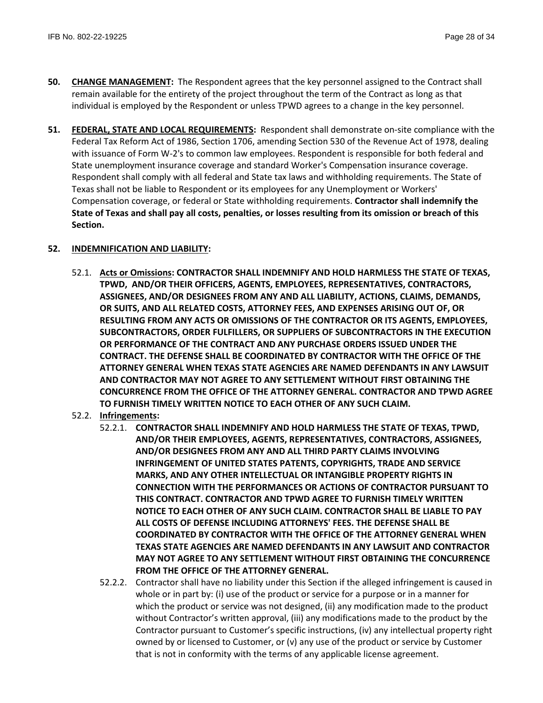- **50. CHANGE MANAGEMENT:** The Respondent agrees that the key personnel assigned to the Contract shall remain available for the entirety of the project throughout the term of the Contract as long as that individual is employed by the Respondent or unless TPWD agrees to a change in the key personnel.
- **51. FEDERAL, STATE AND LOCAL REQUIREMENTS:** Respondent shall demonstrate on-site compliance with the Federal Tax Reform Act of 1986, Section 1706, amending Section 530 of the Revenue Act of 1978, dealing with issuance of Form W-2's to common law employees. Respondent is responsible for both federal and State unemployment insurance coverage and standard Worker's Compensation insurance coverage. Respondent shall comply with all federal and State tax laws and withholding requirements. The State of Texas shall not be liable to Respondent or its employees for any Unemployment or Workers' Compensation coverage, or federal or State withholding requirements. **Contractor shall indemnify the State of Texas and shall pay all costs, penalties, or losses resulting from its omission or breach of this Section.**

# **52. INDEMNIFICATION AND LIABILITY:**

- 52.1. **Acts or Omissions: CONTRACTOR SHALL INDEMNIFY AND HOLD HARMLESS THE STATE OF TEXAS, TPWD, AND/OR THEIR OFFICERS, AGENTS, EMPLOYEES, REPRESENTATIVES, CONTRACTORS, ASSIGNEES, AND/OR DESIGNEES FROM ANY AND ALL LIABILITY, ACTIONS, CLAIMS, DEMANDS, OR SUITS, AND ALL RELATED COSTS, ATTORNEY FEES, AND EXPENSES ARISING OUT OF, OR RESULTING FROM ANY ACTS OR OMISSIONS OF THE CONTRACTOR OR ITS AGENTS, EMPLOYEES, SUBCONTRACTORS, ORDER FULFILLERS, OR SUPPLIERS OF SUBCONTRACTORS IN THE EXECUTION OR PERFORMANCE OF THE CONTRACT AND ANY PURCHASE ORDERS ISSUED UNDER THE CONTRACT. THE DEFENSE SHALL BE COORDINATED BY CONTRACTOR WITH THE OFFICE OF THE ATTORNEY GENERAL WHEN TEXAS STATE AGENCIES ARE NAMED DEFENDANTS IN ANY LAWSUIT AND CONTRACTOR MAY NOT AGREE TO ANY SETTLEMENT WITHOUT FIRST OBTAINING THE CONCURRENCE FROM THE OFFICE OF THE ATTORNEY GENERAL. CONTRACTOR AND TPWD AGREE TO FURNISH TIMELY WRITTEN NOTICE TO EACH OTHER OF ANY SUCH CLAIM.**
- 52.2. **Infringements:**
	- 52.2.1. **CONTRACTOR SHALL INDEMNIFY AND HOLD HARMLESS THE STATE OF TEXAS, TPWD, AND/OR THEIR EMPLOYEES, AGENTS, REPRESENTATIVES, CONTRACTORS, ASSIGNEES, AND/OR DESIGNEES FROM ANY AND ALL THIRD PARTY CLAIMS INVOLVING INFRINGEMENT OF UNITED STATES PATENTS, COPYRIGHTS, TRADE AND SERVICE MARKS, AND ANY OTHER INTELLECTUAL OR INTANGIBLE PROPERTY RIGHTS IN CONNECTION WITH THE PERFORMANCES OR ACTIONS OF CONTRACTOR PURSUANT TO THIS CONTRACT. CONTRACTOR AND TPWD AGREE TO FURNISH TIMELY WRITTEN NOTICE TO EACH OTHER OF ANY SUCH CLAIM. CONTRACTOR SHALL BE LIABLE TO PAY ALL COSTS OF DEFENSE INCLUDING ATTORNEYS' FEES. THE DEFENSE SHALL BE COORDINATED BY CONTRACTOR WITH THE OFFICE OF THE ATTORNEY GENERAL WHEN TEXAS STATE AGENCIES ARE NAMED DEFENDANTS IN ANY LAWSUIT AND CONTRACTOR MAY NOT AGREE TO ANY SETTLEMENT WITHOUT FIRST OBTAINING THE CONCURRENCE FROM THE OFFICE OF THE ATTORNEY GENERAL.**
	- 52.2.2. Contractor shall have no liability under this Section if the alleged infringement is caused in whole or in part by: (i) use of the product or service for a purpose or in a manner for which the product or service was not designed, (ii) any modification made to the product without Contractor's written approval, (iii) any modifications made to the product by the Contractor pursuant to Customer's specific instructions, (iv) any intellectual property right owned by or licensed to Customer, or (v) any use of the product or service by Customer that is not in conformity with the terms of any applicable license agreement.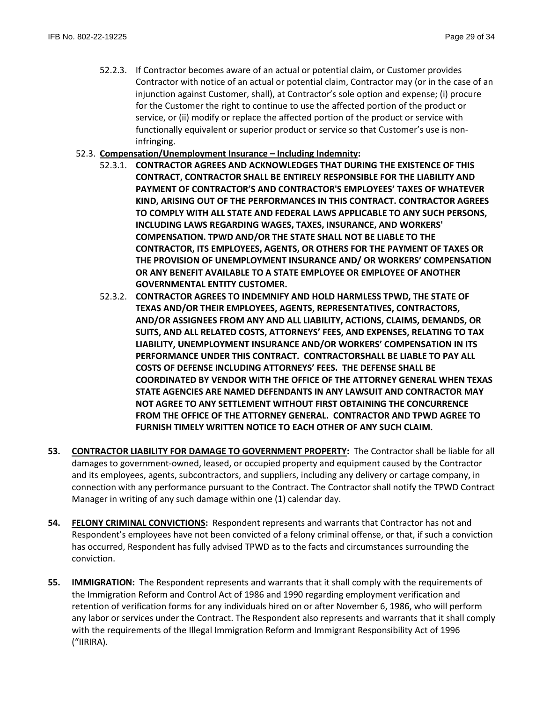- 52.2.3. If Contractor becomes aware of an actual or potential claim, or Customer provides Contractor with notice of an actual or potential claim, Contractor may (or in the case of an injunction against Customer, shall), at Contractor's sole option and expense; (i) procure for the Customer the right to continue to use the affected portion of the product or service, or (ii) modify or replace the affected portion of the product or service with functionally equivalent or superior product or service so that Customer's use is noninfringing.
- 52.3. **Compensation/Unemployment Insurance – Including Indemnity:**
	- 52.3.1. **CONTRACTOR AGREES AND ACKNOWLEDGES THAT DURING THE EXISTENCE OF THIS CONTRACT, CONTRACTOR SHALL BE ENTIRELY RESPONSIBLE FOR THE LIABILITY AND PAYMENT OF CONTRACTOR'S AND CONTRACTOR'S EMPLOYEES' TAXES OF WHATEVER KIND, ARISING OUT OF THE PERFORMANCES IN THIS CONTRACT. CONTRACTOR AGREES TO COMPLY WITH ALL STATE AND FEDERAL LAWS APPLICABLE TO ANY SUCH PERSONS, INCLUDING LAWS REGARDING WAGES, TAXES, INSURANCE, AND WORKERS' COMPENSATION. TPWD AND/OR THE STATE SHALL NOT BE LIABLE TO THE CONTRACTOR, ITS EMPLOYEES, AGENTS, OR OTHERS FOR THE PAYMENT OF TAXES OR THE PROVISION OF UNEMPLOYMENT INSURANCE AND/ OR WORKERS' COMPENSATION OR ANY BENEFIT AVAILABLE TO A STATE EMPLOYEE OR EMPLOYEE OF ANOTHER GOVERNMENTAL ENTITY CUSTOMER.**
	- 52.3.2. **CONTRACTOR AGREES TO INDEMNIFY AND HOLD HARMLESS TPWD, THE STATE OF TEXAS AND/OR THEIR EMPLOYEES, AGENTS, REPRESENTATIVES, CONTRACTORS, AND/OR ASSIGNEES FROM ANY AND ALL LIABILITY, ACTIONS, CLAIMS, DEMANDS, OR SUITS, AND ALL RELATED COSTS, ATTORNEYS' FEES, AND EXPENSES, RELATING TO TAX LIABILITY, UNEMPLOYMENT INSURANCE AND/OR WORKERS' COMPENSATION IN ITS PERFORMANCE UNDER THIS CONTRACT. CONTRACTORSHALL BE LIABLE TO PAY ALL COSTS OF DEFENSE INCLUDING ATTORNEYS' FEES. THE DEFENSE SHALL BE COORDINATED BY VENDOR WITH THE OFFICE OF THE ATTORNEY GENERAL WHEN TEXAS STATE AGENCIES ARE NAMED DEFENDANTS IN ANY LAWSUIT AND CONTRACTOR MAY NOT AGREE TO ANY SETTLEMENT WITHOUT FIRST OBTAINING THE CONCURRENCE FROM THE OFFICE OF THE ATTORNEY GENERAL. CONTRACTOR AND TPWD AGREE TO FURNISH TIMELY WRITTEN NOTICE TO EACH OTHER OF ANY SUCH CLAIM.**
- **53. CONTRACTOR LIABILITY FOR DAMAGE TO GOVERNMENT PROPERTY:** The Contractor shall be liable for all damages to government-owned, leased, or occupied property and equipment caused by the Contractor and its employees, agents, subcontractors, and suppliers, including any delivery or cartage company, in connection with any performance pursuant to the Contract. The Contractor shall notify the TPWD Contract Manager in writing of any such damage within one (1) calendar day.
- **54. FELONY CRIMINAL CONVICTIONS:** Respondent represents and warrants that Contractor has not and Respondent's employees have not been convicted of a felony criminal offense, or that, if such a conviction has occurred, Respondent has fully advised TPWD as to the facts and circumstances surrounding the conviction.
- **55. IMMIGRATION:** The Respondent represents and warrants that it shall comply with the requirements of the Immigration Reform and Control Act of 1986 and 1990 regarding employment verification and retention of verification forms for any individuals hired on or after November 6, 1986, who will perform any labor or services under the Contract. The Respondent also represents and warrants that it shall comply with the requirements of the Illegal Immigration Reform and Immigrant Responsibility Act of 1996 ("IIRIRA).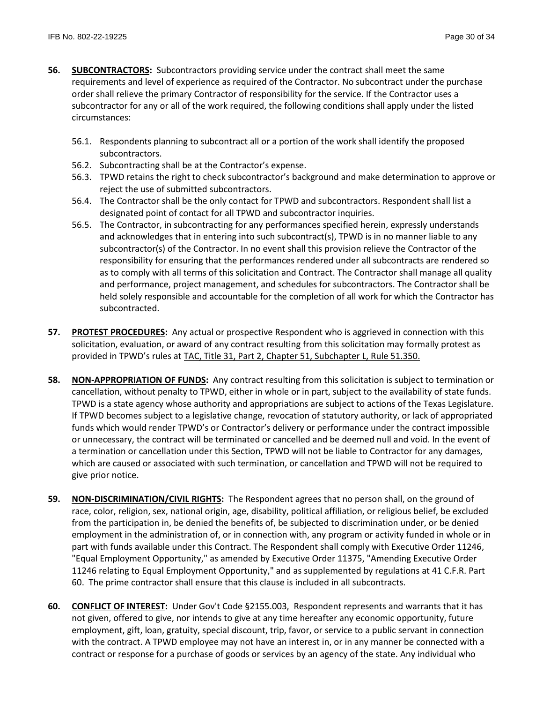- **56. SUBCONTRACTORS:** Subcontractors providing service under the contract shall meet the same requirements and level of experience as required of the Contractor. No subcontract under the purchase order shall relieve the primary Contractor of responsibility for the service. If the Contractor uses a subcontractor for any or all of the work required, the following conditions shall apply under the listed circumstances:
	- 56.1. Respondents planning to subcontract all or a portion of the work shall identify the proposed subcontractors.
	- 56.2. Subcontracting shall be at the Contractor's expense.
	- 56.3. TPWD retains the right to check subcontractor's background and make determination to approve or reject the use of submitted subcontractors.
	- 56.4. The Contractor shall be the only contact for TPWD and subcontractors. Respondent shall list a designated point of contact for all TPWD and subcontractor inquiries.
	- 56.5. The Contractor, in subcontracting for any performances specified herein, expressly understands and acknowledges that in entering into such subcontract(s), TPWD is in no manner liable to any subcontractor(s) of the Contractor. In no event shall this provision relieve the Contractor of the responsibility for ensuring that the performances rendered under all subcontracts are rendered so as to comply with all terms of this solicitation and Contract. The Contractor shall manage all quality and performance, project management, and schedules for subcontractors. The Contractor shall be held solely responsible and accountable for the completion of all work for which the Contractor has subcontracted.
- **57. PROTEST PROCEDURES:** Any actual or prospective Respondent who is aggrieved in connection with this solicitation, evaluation, or award of any contract resulting from this solicitation may formally protest as provided in TPWD's rules at [TAC, Title 31, Part 2, Chapter 51, Subchapter L, Rule 51.350.](http://texreg.sos.state.tx.us/public/readtac$ext.TacPage?sl=R&app=9&p_dir=&p_rloc=&p_tloc=&p_ploc=&pg=1&p_tac=&ti=31&pt=2&ch=51&rl=350)
- **58. NON-APPROPRIATION OF FUNDS:** Any contract resulting from this solicitation is subject to termination or cancellation, without penalty to TPWD, either in whole or in part, subject to the availability of state funds. TPWD is a state agency whose authority and appropriations are subject to actions of the Texas Legislature. If TPWD becomes subject to a legislative change, revocation of statutory authority, or lack of appropriated funds which would render TPWD's or Contractor's delivery or performance under the contract impossible or unnecessary, the contract will be terminated or cancelled and be deemed null and void. In the event of a termination or cancellation under this Section, TPWD will not be liable to Contractor for any damages, which are caused or associated with such termination, or cancellation and TPWD will not be required to give prior notice.
- **59. NON-DISCRIMINATION/CIVIL RIGHTS:** The Respondent agrees that no person shall, on the ground of race, color, religion, sex, national origin, age, disability, political affiliation, or religious belief, be excluded from the participation in, be denied the benefits of, be subjected to discrimination under, or be denied employment in the administration of, or in connection with, any program or activity funded in whole or in part with funds available under this Contract. The Respondent shall comply with Executive Order 11246, "Equal Employment Opportunity," as amended by Executive Order 11375, "Amending Executive Order 11246 relating to Equal Employment Opportunity," and as supplemented by regulations at 41 C.F.R. Part 60. The prime contractor shall ensure that this clause is included in all subcontracts.
- **60. CONFLICT OF INTEREST:** Under Gov't Code §2155.003, Respondent represents and warrants that it has not given, offered to give, nor intends to give at any time hereafter any economic opportunity, future employment, gift, loan, gratuity, special discount, trip, favor, or service to a public servant in connection with the contract. A TPWD employee may not have an interest in, or in any manner be connected with a contract or response for a purchase of goods or services by an agency of the state. Any individual who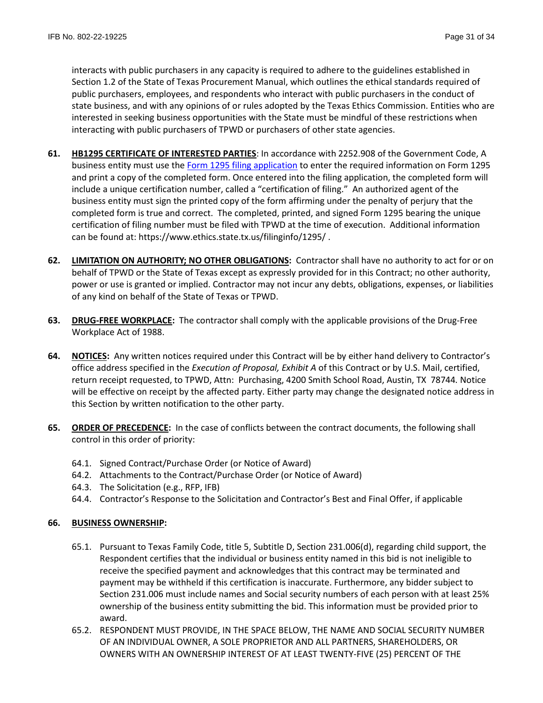interacts with public purchasers in any capacity is required to adhere to the guidelines established in Section 1.2 of the State of Texas Procurement Manual, which outlines the ethical standards required of public purchasers, employees, and respondents who interact with public purchasers in the conduct of state business, and with any opinions of or rules adopted by the Texas Ethics Commission. Entities who are interested in seeking business opportunities with the State must be mindful of these restrictions when interacting with public purchasers of TPWD or purchasers of other state agencies.

- **61. HB1295 CERTIFICATE OF INTERESTED PARTIES**: In accordance with 2252.908 of the Government Code, A business entity must use the [Form 1295 filing application](https://www.ethics.state.tx.us/whatsnew/elf_info_form1295.htm) to enter the required information on Form 1295 and print a copy of the completed form. Once entered into the filing application, the completed form will include a unique certification number, called a "certification of filing." An authorized agent of the business entity must sign the printed copy of the form affirming under the penalty of perjury that the completed form is true and correct. The completed, printed, and signed Form 1295 bearing the unique certification of filing number must be filed with TPWD at the time of execution. Additional information can be found at: https://www.ethics.state.tx.us/filinginfo/1295/ .
- **62. LIMITATION ON AUTHORITY; NO OTHER OBLIGATIONS:** Contractor shall have no authority to act for or on behalf of TPWD or the State of Texas except as expressly provided for in this Contract; no other authority, power or use is granted or implied. Contractor may not incur any debts, obligations, expenses, or liabilities of any kind on behalf of the State of Texas or TPWD.
- **63. DRUG-FREE WORKPLACE:** The contractor shall comply with the applicable provisions of the Drug-Free Workplace Act of 1988.
- **64. NOTICES:** Any written notices required under this Contract will be by either hand delivery to Contractor's office address specified in the *Execution of Proposal, Exhibit A* of this Contract or by U.S. Mail, certified, return receipt requested, to TPWD, Attn: Purchasing, 4200 Smith School Road, Austin, TX 78744*.* Notice will be effective on receipt by the affected party. Either party may change the designated notice address in this Section by written notification to the other party.
- **65. ORDER OF PRECEDENCE:** In the case of conflicts between the contract documents, the following shall control in this order of priority:
	- 64.1. Signed Contract/Purchase Order (or Notice of Award)
	- 64.2. Attachments to the Contract/Purchase Order (or Notice of Award)
	- 64.3. The Solicitation (e.g., RFP, IFB)
	- 64.4. Contractor's Response to the Solicitation and Contractor's Best and Final Offer, if applicable

# **66. BUSINESS OWNERSHIP:**

- 65.1. Pursuant to Texas Family Code, title 5, Subtitle D, Section 231.006(d), regarding child support, the Respondent certifies that the individual or business entity named in this bid is not ineligible to receive the specified payment and acknowledges that this contract may be terminated and payment may be withheld if this certification is inaccurate. Furthermore, any bidder subject to Section 231.006 must include names and Social security numbers of each person with at least 25% ownership of the business entity submitting the bid. This information must be provided prior to award.
- 65.2. RESPONDENT MUST PROVIDE, IN THE SPACE BELOW, THE NAME AND SOCIAL SECURITY NUMBER OF AN INDIVIDUAL OWNER, A SOLE PROPRIETOR AND ALL PARTNERS, SHAREHOLDERS, OR OWNERS WITH AN OWNERSHIP INTEREST OF AT LEAST TWENTY-FIVE (25) PERCENT OF THE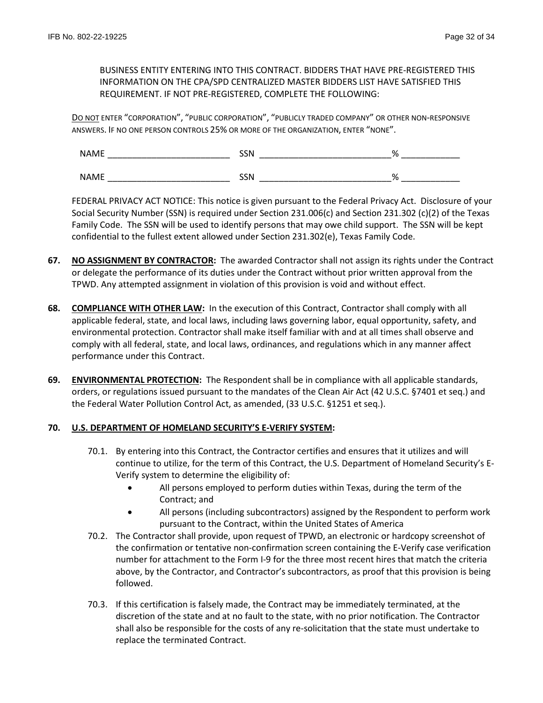BUSINESS ENTITY ENTERING INTO THIS CONTRACT. BIDDERS THAT HAVE PRE-REGISTERED THIS INFORMATION ON THE CPA/SPD CENTRALIZED MASTER BIDDERS LIST HAVE SATISFIED THIS REQUIREMENT. IF NOT PRE-REGISTERED, COMPLETE THE FOLLOWING:

DO NOT ENTER "CORPORATION", "PUBLIC CORPORATION", "PUBLICLY TRADED COMPANY" OR OTHER NON-RESPONSIVE ANSWERS. IF NO ONE PERSON CONTROLS 25% OR MORE OF THE ORGANIZATION, ENTER "NONE".

NAME \_\_\_\_\_\_\_\_\_\_\_\_\_\_\_\_\_\_\_\_\_\_\_\_\_ SSN \_\_\_\_\_\_\_\_\_\_\_\_\_\_\_\_\_\_\_\_\_\_\_\_\_\_\_% \_\_\_\_\_\_\_\_\_\_\_\_  $NAME$  and  $SSN$  and  $\%$ 

FEDERAL PRIVACY ACT NOTICE: This notice is given pursuant to the Federal Privacy Act. Disclosure of your Social Security Number (SSN) is required under Section 231.006(c) and Section 231.302 (c)(2) of the Texas Family Code. The SSN will be used to identify persons that may owe child support. The SSN will be kept confidential to the fullest extent allowed under Section 231.302(e), Texas Family Code.

- **67. NO ASSIGNMENT BY CONTRACTOR:** The awarded Contractor shall not assign its rights under the Contract or delegate the performance of its duties under the Contract without prior written approval from the TPWD. Any attempted assignment in violation of this provision is void and without effect.
- **68. COMPLIANCE WITH OTHER LAW:** In the execution of this Contract, Contractor shall comply with all applicable federal, state, and local laws, including laws governing labor, equal opportunity, safety, and environmental protection. Contractor shall make itself familiar with and at all times shall observe and comply with all federal, state, and local laws, ordinances, and regulations which in any manner affect performance under this Contract.
- **69. ENVIRONMENTAL PROTECTION:** The Respondent shall be in compliance with all applicable standards, orders, or regulations issued pursuant to the mandates of the Clean Air Act (42 U.S.C. §7401 et seq.) and the Federal Water Pollution Control Act, as amended, (33 U.S.C. §1251 et seq.).

#### **70. U.S. DEPARTMENT OF HOMELAND SECURITY'S E-VERIFY SYSTEM:**

- 70.1. By entering into this Contract, the Contractor certifies and ensures that it utilizes and will continue to utilize, for the term of this Contract, the U.S. Department of Homeland Security's E-Verify system to determine the eligibility of:
	- All persons employed to perform duties within Texas, during the term of the Contract; and
	- All persons (including subcontractors) assigned by the Respondent to perform work pursuant to the Contract, within the United States of America
- 70.2. The Contractor shall provide, upon request of TPWD, an electronic or hardcopy screenshot of the confirmation or tentative non-confirmation screen containing the E-Verify case verification number for attachment to the Form I-9 for the three most recent hires that match the criteria above, by the Contractor, and Contractor's subcontractors, as proof that this provision is being followed.
- 70.3. If this certification is falsely made, the Contract may be immediately terminated, at the discretion of the state and at no fault to the state, with no prior notification. The Contractor shall also be responsible for the costs of any re-solicitation that the state must undertake to replace the terminated Contract.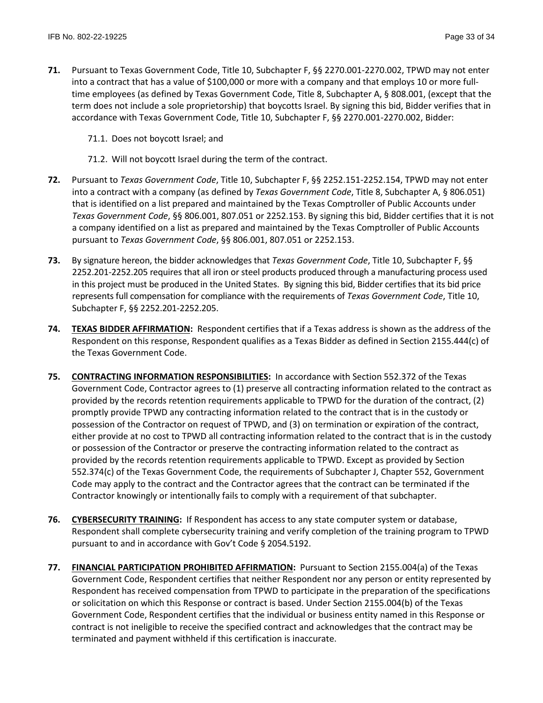- **71.** Pursuant to Texas Government Code, Title 10, Subchapter F, §§ 2270.001-2270.002, TPWD may not enter into a contract that has a value of \$100,000 or more with a company and that employs 10 or more fulltime employees (as defined by Texas Government Code, Title 8, Subchapter A, § 808.001, (except that the term does not include a sole proprietorship) that boycotts Israel. By signing this bid, Bidder verifies that in accordance with Texas Government Code, Title 10, Subchapter F, §§ 2270.001-2270.002, Bidder:
	- 71.1. Does not boycott Israel; and
	- 71.2. Will not boycott Israel during the term of the contract.
- **72.** Pursuant to *Texas Government Code*, Title 10, Subchapter F, §§ 2252.151-2252.154, TPWD may not enter into a contract with a company (as defined by *Texas Government Code*, Title 8, Subchapter A, § 806.051) that is identified on a list prepared and maintained by the Texas Comptroller of Public Accounts under *Texas Government Code*, §§ 806.001, 807.051 or 2252.153. By signing this bid, Bidder certifies that it is not a company identified on a list as prepared and maintained by the Texas Comptroller of Public Accounts pursuant to *Texas Government Code*, §§ 806.001, 807.051 or 2252.153.
- **73.** By signature hereon, the bidder acknowledges that *Texas Government Code*, Title 10, Subchapter F, §§ 2252.201-2252.205 requires that all iron or steel products produced through a manufacturing process used in this project must be produced in the United States. By signing this bid, Bidder certifies that its bid price represents full compensation for compliance with the requirements of *Texas Government Code*, Title 10, Subchapter F, §§ 2252.201-2252.205.
- **74. TEXAS BIDDER AFFIRMATION:** Respondent certifies that if a Texas address is shown as the address of the Respondent on this response, Respondent qualifies as a Texas Bidder as defined in Section 2155.444(c) of the Texas Government Code.
- **75. CONTRACTING INFORMATION RESPONSIBILITIES:** In accordance with Section 552.372 of the Texas Government Code, Contractor agrees to (1) preserve all contracting information related to the contract as provided by the records retention requirements applicable to TPWD for the duration of the contract, (2) promptly provide TPWD any contracting information related to the contract that is in the custody or possession of the Contractor on request of TPWD, and (3) on termination or expiration of the contract, either provide at no cost to TPWD all contracting information related to the contract that is in the custody or possession of the Contractor or preserve the contracting information related to the contract as provided by the records retention requirements applicable to TPWD. Except as provided by Section 552.374(c) of the Texas Government Code, the requirements of Subchapter J, Chapter 552, Government Code may apply to the contract and the Contractor agrees that the contract can be terminated if the Contractor knowingly or intentionally fails to comply with a requirement of that subchapter.
- **76. CYBERSECURITY TRAINING:** If Respondent has access to any state computer system or database, Respondent shall complete cybersecurity training and verify completion of the training program to TPWD pursuant to and in accordance with Gov't Code § 2054.5192.
- **77. FINANCIAL PARTICIPATION PROHIBITED AFFIRMATION:** Pursuant to Section 2155.004(a) of the Texas Government Code, Respondent certifies that neither Respondent nor any person or entity represented by Respondent has received compensation from TPWD to participate in the preparation of the specifications or solicitation on which this Response or contract is based. Under Section 2155.004(b) of the Texas Government Code, Respondent certifies that the individual or business entity named in this Response or contract is not ineligible to receive the specified contract and acknowledges that the contract may be terminated and payment withheld if this certification is inaccurate.